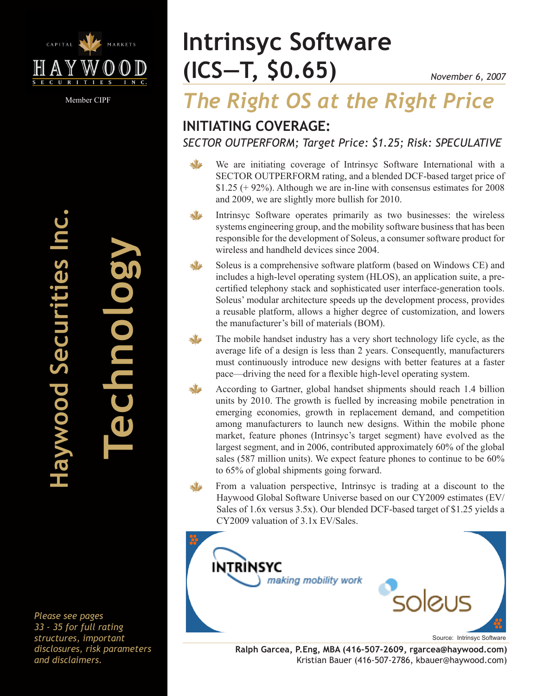

Member CIPF

# **(ICS—T, \$0.65) Intrinsyc Software**

# *The Right OS at the Right Price*

## **INITIATING COVERAGE:**

*SECTOR OUTPERFORM; Target Price: \$1.25; Risk: SPECULATIVE*

 $\sqrt{2}$ We are initiating coverage of Intrinsyc Software International with a SECTOR OUTPERFORM rating, and a blended DCF-based target price of  $$1.25$  (+ 92%). Although we are in-line with consensus estimates for 2008 and 2009, we are slightly more bullish for 2010.

- Intrinsyc Software operates primarily as two businesses: the wireless systems engineering group, and the mobility software business that has been responsible for the development of Soleus, a consumer software product for wireless and handheld devices since 2004.
- Soleus is a comprehensive software platform (based on Windows CE) and includes a high-level operating system (HLOS), an application suite, a precertified telephony stack and sophisticated user interface-generation tools. Soleus' modular architecture speeds up the development process, provides a reusable platform, allows a higher degree of customization, and lowers the manufacturer's bill of materials (BOM).
- The mobile handset industry has a very short technology life cycle, as the average life of a design is less than 2 years. Consequently, manufacturers must continuously introduce new designs with better features at a faster pace—driving the need for a flexible high-level operating system.
	- According to Gartner, global handset shipments should reach 1.4 billion units by 2010. The growth is fuelled by increasing mobile penetration in emerging economies, growth in replacement demand, and competition among manufacturers to launch new designs. Within the mobile phone market, feature phones (Intrinsyc's target segment) have evolved as the largest segment, and in 2006, contributed approximately 60% of the global sales (587 million units). We expect feature phones to continue to be 60% to 65% of global shipments going forward.
		- From a valuation perspective, Intrinsyc is trading at a discount to the Haywood Global Software Universe based on our CY2009 estimates (EV/ Sales of 1.6x versus 3.5x). Our blended DCF-based target of \$1.25 yields a CY2009 valuation of 3.1x EV/Sales.



**Ralph Garcea, P.Eng, MBA (416-507-2609, rgarcea@haywood.com)** Kristian Bauer (416-507-2786, kbauer@haywood.com)

**Haywood Securities Inc.** aywood Securities

**Technology**

annolog

*Please see pages 33 - 35 for full rating structures, important disclosures, risk parameters and disclaimers.*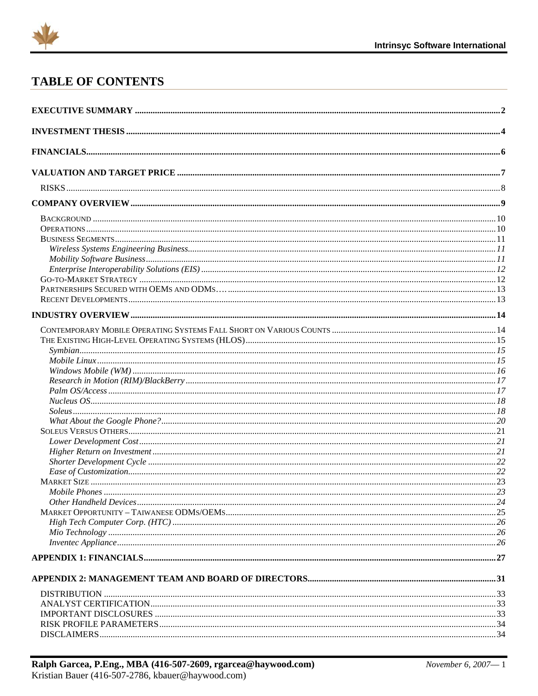

## **TABLE OF CONTENTS**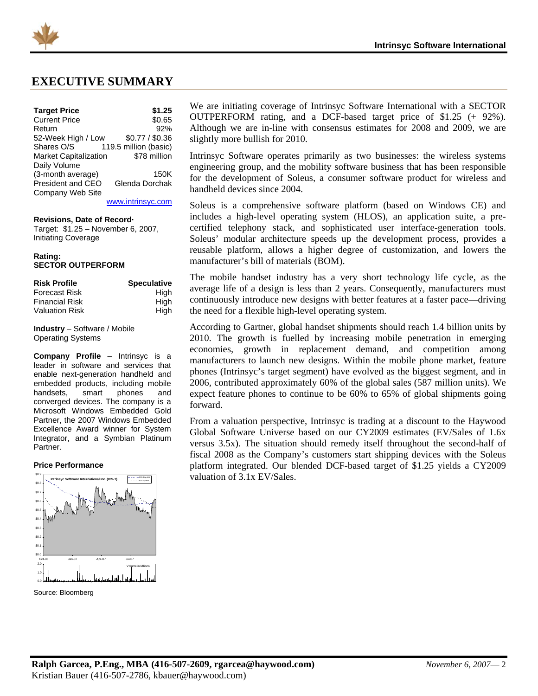<span id="page-2-0"></span>

### **EXECUTIVE SUMMARY**

| <b>Target Price</b> |  |
|---------------------|--|

| <b>Target Price</b>          | \$1.25                |
|------------------------------|-----------------------|
| <b>Current Price</b>         | \$0.65                |
| Return                       | 92%                   |
| 52-Week High / Low           | \$0.77 / \$0.36       |
| Shares O/S                   | 119.5 million (basic) |
| <b>Market Capitalization</b> | \$78 million          |
| Daily Volume                 |                       |
| (3-month average)            | 150K                  |
| President and CEO            | Glenda Dorchak        |
| Company Web Site             |                       |
|                              |                       |

[www.intrinsyc.com](http://www.intrinsyc.com/)

#### **Revisions, Date of Record·**

Target: \$1.25 – November 6, 2007, Initiating Coverage

#### **Rating: SECTOR OUTPERFORM**

| <b>Risk Profile</b>   | <b>Speculative</b> |
|-----------------------|--------------------|
| Forecast Risk         | High               |
| <b>Financial Risk</b> | High               |
| Valuation Risk        | High               |

**Industry** – Software / Mobile Operating Systems

**Company Profile** – Intrinsyc is a leader in software and services that enable next-generation handheld and embedded products, including mobile handsets, smart phones and converged devices. The company is a Microsoft Windows Embedded Gold Partner, the 2007 Windows Embedded Excellence Award winner for System Integrator, and a Symbian Platinum Partner.

#### **Price Performance**



Source: Bloomberg

We are initiating coverage of Intrinsyc Software International with a SECTOR OUTPERFORM rating, and a DCF-based target price of \$1.25 (+ 92%). Although we are in-line with consensus estimates for 2008 and 2009, we are slightly more bullish for 2010.

Intrinsyc Software operates primarily as two businesses: the wireless systems engineering group, and the mobility software business that has been responsible for the development of Soleus, a consumer software product for wireless and handheld devices since 2004.

Soleus is a comprehensive software platform (based on Windows CE) and includes a high-level operating system (HLOS), an application suite, a precertified telephony stack, and sophisticated user interface-generation tools. Soleus' modular architecture speeds up the development process, provides a reusable platform, allows a higher degree of customization, and lowers the manufacturer's bill of materials (BOM).

The mobile handset industry has a very short technology life cycle, as the average life of a design is less than 2 years. Consequently, manufacturers must continuously introduce new designs with better features at a faster pace—driving the need for a flexible high-level operating system.

According to Gartner, global handset shipments should reach 1.4 billion units by 2010. The growth is fuelled by increasing mobile penetration in emerging economies, growth in replacement demand, and competition among manufacturers to launch new designs. Within the mobile phone market, feature phones (Intrinsyc's target segment) have evolved as the biggest segment, and in 2006, contributed approximately 60% of the global sales (587 million units). We expect feature phones to continue to be 60% to 65% of global shipments going forward.

From a valuation perspective, Intrinsyc is trading at a discount to the Haywood Global Software Universe based on our CY2009 estimates (EV/Sales of 1.6x versus 3.5x). The situation should remedy itself throughout the second-half of fiscal 2008 as the Company's customers start shipping devices with the Soleus platform integrated. Our blended DCF-based target of \$1.25 yields a CY2009 valuation of 3.1x EV/Sales.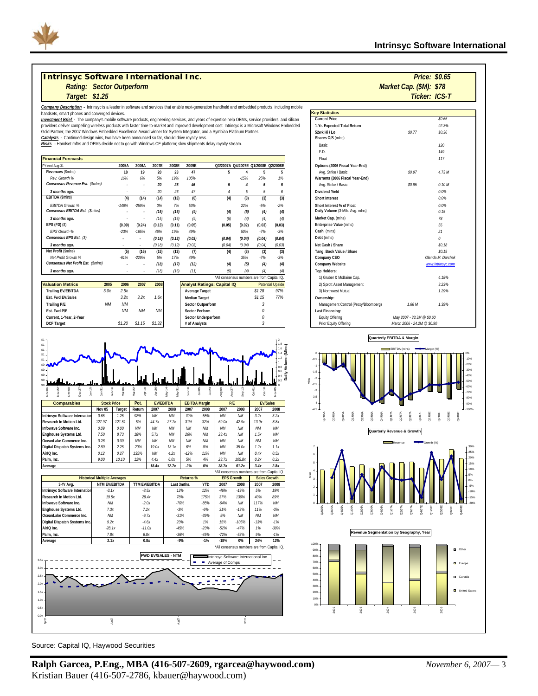#### **Intrinsyc Software International Inc.** *Rating: Market Cap. (\$M): Sector Outperform*

*Company Description -* Intrinsyc is a leader in software and services that enable next-generation handheld and embedded products, including mobile handsets, smart phones and converged devices.

Investment Brief - The company's mobile software products, engineering services, and years of expertise help OEMs, service providers, and silicon<br>providers deliver compelling wireless products with faster time-to-market an Gold Partner, the 2007 Windows Embedded Excellence Award winner for System Integrator, and a Symbian Platinum Partner.<br><u>*Catalysts -* Continued design wins, two have been announced so far, should drive royalty revs.</u>

*Risks* - Handset mftrs and OEMs decide not to go with Windows CE platform; slow shipments delay royalty stream.

| <b>Financial Forecasts</b>         |         |         |        |        |        |             |        |                                     |                  | Float                           |
|------------------------------------|---------|---------|--------|--------|--------|-------------|--------|-------------------------------------|------------------|---------------------------------|
| FY-end Aug-31                      | 2005A   | 2006A   | 2007E  | 2008E  | 2009E  |             |        | Q3/2007A Q4/2007E Q1/2008E Q2/2008E |                  | Options (2006 Fiscal Year-End)  |
| Revenues (\$mlns)                  | 18      | 19      | 20     | 23     | 47     | 5           |        | 5                                   |                  | Avg. Strike / Basic             |
| Rev. Growth %                      | 16%     | 6%      | 5%     | 19%    | 105%   |             | $-15%$ | 25%                                 | 1%               | Warrants (2006 Fiscal Year-End) |
| Consensus Revenue Est. (\$mins)    |         |         | 20     | 25     | 46     | 5           | 4      | 5                                   |                  | Avg. Strike / Basic             |
| 3 months ago.                      |         |         | 20     | 26     | 47     | 4           | 5      | 5                                   |                  | Dividend Yield                  |
| EBITDA (\$mlns)                    | (4)     | (14)    | (14)   | (13)   | (6)    | (4)         | (3)    | (3)                                 | (3)              | <b>Short Interest</b>           |
| <b>EBITDA Growth %</b>             | $-146%$ | $-259%$ | 0%     | 7%     | 53%    |             | 22%    | $-5%$                               | $-2%$            | Short Interest % of Float       |
| Consensus EBITDA Est. (\$mlns)     |         |         | (15)   | (15)   | (9)    | (4)         | (5)    | (4)                                 | (4)              | Daily Volume (3-Mth. Avg. mlns) |
| 3 months ago.                      |         |         | (15)   | (15)   | (9)    | (5)         | (4)    | (4)                                 | (4)              | Market Cap. (mlns)              |
| $EPS$ (FD) $(S)$                   | (0.09)  | (0.24)  | (0.13) | (0.11) | (0.05) | (0.05)      | (0.02) | (0.03)                              | (0.03)           | Enterprise Value (mlns)         |
| FPS Growth %                       | $-23%$  | $-165%$ | 46%    | 19%    | 49%    |             | 50%    | $-7%$                               | $-3%$            | Cash (mlns)                     |
| Consensus EPS Est. (\$)            |         |         | (0.18) | (0.12) | (0.03) | (0.04)      | (0.04) | (0.04)                              | (0.04)           | Debt (mlns)                     |
| 3 months ago.                      |         |         | (0.18) | (0.12) | (0.03) | (0.04)      | (0.04) | (0.04)                              | (0.03)           | Net Cash / Share                |
| Net Profit (\$mlns)                | (5)     | (16)    | (15)   | (13)   | (7)    | (4)         | (3)    | (3)                                 | (3)              | Tang. Book Value / Share        |
| Net Profit Growth %                | $-61%$  | $-229%$ | 5%     | 17%    | 49%    |             | 35%    | $-7%$                               | $-3%$            | Company CEO                     |
| Consensus Net Profit Est. (\$mlns) |         |         | (18)   | (17)   | (12)   | (4)         | (5)    | (4)                                 | $\left(4\right)$ | Company Website                 |
| 3 months ago.                      |         |         | (18)   | (16)   | (11)   | (5)         | (4)    | (4)                                 |                  | <b>Top Holders:</b>             |
|                                    |         |         |        |        |        | $+$ $+$ $+$ |        |                                     | $\sim$           | .                               |

|                           |           |           |           |        |                                    | "All consensus numbers are from Capital IQ. | 1) Gruber & McBaine Cap. |                                      |  |
|---------------------------|-----------|-----------|-----------|--------|------------------------------------|---------------------------------------------|--------------------------|--------------------------------------|--|
| <b>Valuation Metrics</b>  | 2005      | 2006      | 2007      | 2008   | <b>Analyst Ratings: Capital IQ</b> | <b>Potential Upside</b>                     |                          | 2) Sprott Asset Management           |  |
| <b>Trailing EV/EBITDA</b> | 5.0x      | 2.5x      |           |        | Average Target                     | \$1,28                                      | 97%                      | 3) Northwest Mutual                  |  |
| Est. Fwd EV/Sales         |           | 3.2x      | 3.2x      | 1.6x   | <b>Median Target</b>               | \$1.15                                      | 77%                      | Ownership:                           |  |
| Trailing P/E              | <b>NM</b> | <b>NM</b> |           |        | Sector Outperform                  |                                             |                          | Management Control (Proxy/Bloomberg) |  |
| Est. Fwd P/E              |           | ΝM        | <b>NM</b> | NM     | Sector Perform                     |                                             |                          | Last Financing:                      |  |
| Current, 1-Year, 2-Year   |           |           |           |        | Sector Underperform                |                                             |                          | Equity Offering                      |  |
| <b>DCF Target</b>         |           | \$1.20    |           | \$1.32 | # of Analysts                      |                                             |                          | Prior Equity Offering                |  |
|                           |           |           |           |        |                                    |                                             |                          |                                      |  |



| andheld and embedded products, including mobile   |                                |        |                         |                                      |                             |                   |  |
|---------------------------------------------------|--------------------------------|--------|-------------------------|--------------------------------------|-----------------------------|-------------------|--|
|                                                   |                                |        |                         | <b>Key Statistics</b>                |                             |                   |  |
| pertise help OEMs, service providers, and silicon |                                |        |                         | <b>Current Price</b>                 |                             | \$0.65            |  |
| cost. Intrinsyc is a Microsoft Windows Embedded   |                                |        |                         | 1-Yr. Expected Total Return          |                             | 92.3%             |  |
| ymbian Platinum Partner.                          |                                |        |                         | 52wk Hi / I o                        | \$0.77                      | \$0.36            |  |
|                                                   |                                |        |                         | Shares O/S (mlns)                    |                             |                   |  |
| royalty stream.                                   |                                |        |                         | Basic                                |                             | 120               |  |
|                                                   |                                |        |                         | E.D.                                 |                             | 149               |  |
|                                                   |                                |        |                         | Float                                |                             | 117               |  |
| Q3/2007A Q4/2007E Q1/2008E Q2/2008E               |                                |        |                         | Options (2006 Fiscal Year-End)       |                             |                   |  |
| 5                                                 | 4                              | 5      | 5                       | Avq. Strike / Basic                  | \$0.97                      | 4.73 M            |  |
|                                                   | $-15%$                         | 25%    | 1%                      | Warrants (2006 Fiscal Year-End)      |                             |                   |  |
| 5                                                 | $\overline{4}$                 | 5      | 5                       | Avq. Strike / Basic                  | \$0.95                      | 0.10M             |  |
| 4                                                 | 5                              | 5      | 6                       | Dividend Yield                       |                             | 0.0%              |  |
| (4)                                               | (3)                            | (3)    | (3)                     | Short Interest                       |                             | 0.0%              |  |
|                                                   | $-2%$<br>22%<br>$-5%$          |        |                         | Short Interest % of Float            |                             | 0.0%              |  |
| (4)                                               | (5)                            | (4)    | (4)                     | Daily Volume (3-Mth. Avg. mlns)      |                             | 0.15              |  |
| (5)                                               | (4)<br>(4)<br>$\left(4\right)$ |        |                         | Market Cap. (mlns)                   |                             | 78                |  |
| (0.05)                                            | (0.02)                         | (0.03) | (0.03)                  | Enterprise Value (mlns)              |                             | 56                |  |
|                                                   | 50%                            | $-7%$  | $-3%$                   | Cash (mlns)                          |                             | 21                |  |
| (0.04)                                            | (0.04)                         | (0.04) | (0.04)                  | Debt (mlns)                          |                             | $\theta$          |  |
| (0.04)                                            | (0.04)                         | (0.04) | (0.03)                  | Net Cash / Share                     |                             | \$0.18            |  |
| (4)                                               | (3)                            | (3)    | (3)                     | Tang. Book Value / Share             |                             | \$0.19            |  |
|                                                   | 35%                            | $-7%$  | $-3%$                   | Company CEO                          |                             | Glenda M. Dorchak |  |
| (4)                                               | (5)                            | (4)    | (4)                     | Company Website                      |                             | www.intrinsyc.com |  |
| (5)                                               | (4)                            | (4)    | (4)                     | <b>Top Holders:</b>                  |                             |                   |  |
| *All consensus numbers are from Capital IQ.       |                                |        |                         | 1) Gruber & McBaine Cap.             |                             | 4.18%             |  |
| <b>Capital IQ</b>                                 |                                |        | <b>Potential Upside</b> | 2) Sprott Asset Management           |                             | 3.23%             |  |
|                                                   |                                | \$1.28 | 97%                     | 3) Northwest Mutual                  |                             | 1.29%             |  |
|                                                   |                                | \$1.15 | 77%                     | Ownership:                           |                             |                   |  |
| n.                                                |                                | 3      |                         | Management Control (Proxy/Bloomberg) | 1.66M                       | 1.39%             |  |
|                                                   |                                | 0      |                         | Last Financing:                      |                             |                   |  |
| orm                                               |                                | 0      |                         | Equity Offering                      | May 2007 - 33.3M @ \$0.60   |                   |  |
|                                                   |                                | 3      |                         | Prior Equity Offering                | March 2006 - 24.2M @ \$0.90 |                   |  |





2004

2005

2006

0% 10%

2002

2003

*\$0.65*

*Market Cap. (\$M): \$78* 

*Target: Ticker: ICS-T \$1.25*

**Intrinsyc Software International** 

Source: Capital IQ, Haywood Securities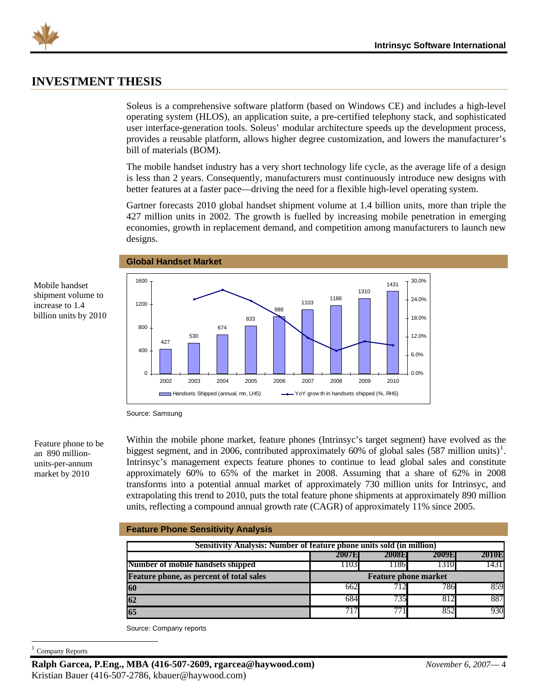<span id="page-4-0"></span>

### **INVESTMENT THESIS**

Soleus is a comprehensive software platform (based on Windows CE) and includes a high-level operating system (HLOS), an application suite, a pre-certified telephony stack, and sophisticated user interface-generation tools. Soleus' modular architecture speeds up the development process, provides a reusable platform, allows higher degree customization, and lowers the manufacturer's bill of materials (BOM).

The mobile handset industry has a very short technology life cycle, as the average life of a design is less than 2 years. Consequently, manufacturers must continuously introduce new designs with better features at a faster pace—driving the need for a flexible high-level operating system.

Gartner forecasts 2010 global handset shipment volume at 1.4 billion units, more than triple the 427 million units in 2002. The growth is fuelled by increasing mobile penetration in emerging economies, growth in replacement demand, and competition among manufacturers to launch new designs.

Mobile handset shipment volume to increase to 1.4 billion units by 2010



Source: Samsung

**Global Handset Market** 

Feature phone to be an 890 millionunits-per-annum market by 2010

Within the mobile phone market, feature phones (Intrinsyc's target segment) have evolved as the biggest segment, and in 2006, contributed approximately 60% of global sales  $(587 \text{ million units})^1$  $(587 \text{ million units})^1$ . Intrinsyc's management expects feature phones to continue to lead global sales and constitute approximately 60% to 65% of the market in 2008. Assuming that a share of 62% in 2008 transforms into a potential annual market of approximately 730 million units for Intrinsyc, and extrapolating this trend to 2010, puts the total feature phone shipments at approximately 890 million units, reflecting a compound annual growth rate (CAGR) of approximately 11% since 2005.

#### **Feature Phone Sensitivity Analysis**

|                                                 | Sensitivity Analysis: Number of feature phone units sold (in million) |                             |      |      |  |  |  |  |  |  |  |  |  |  |
|-------------------------------------------------|-----------------------------------------------------------------------|-----------------------------|------|------|--|--|--|--|--|--|--|--|--|--|
|                                                 | <b>2008E</b><br>2007E<br>2009E<br><b>2010E</b>                        |                             |      |      |  |  |  |  |  |  |  |  |  |  |
| Number of mobile handsets shipped               | 1103                                                                  | 1186                        | 1310 | 1431 |  |  |  |  |  |  |  |  |  |  |
| <b>Feature phone, as percent of total sales</b> |                                                                       | <b>Feature phone market</b> |      |      |  |  |  |  |  |  |  |  |  |  |
| 60                                              | 662                                                                   | 712                         | 786  | 859  |  |  |  |  |  |  |  |  |  |  |
| 62                                              | 684                                                                   | 735                         | 812  | 887  |  |  |  |  |  |  |  |  |  |  |
| 65                                              |                                                                       | 77                          | 852  | 930  |  |  |  |  |  |  |  |  |  |  |

Source: Company reports

<span id="page-4-1"></span>Company Reports

-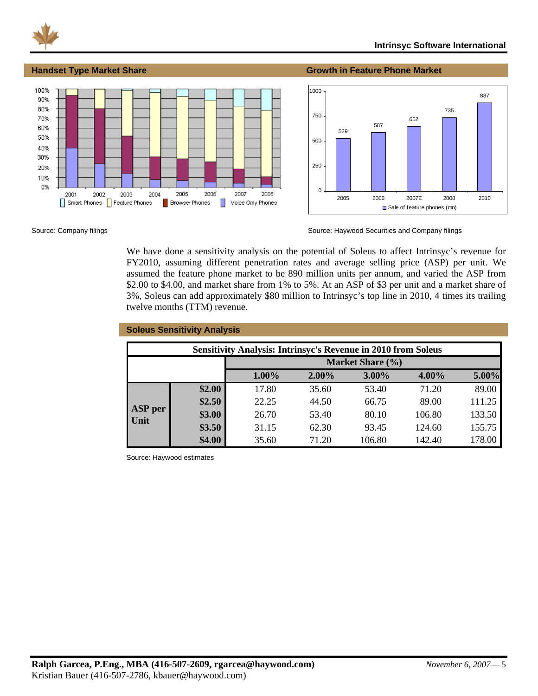

#### **Handset Type Market Share Growth in Feature Phone Market**





Source: Company filings Source: Haywood Securities and Company filings Source: Haywood Securities and Company filings

We have done a sensitivity analysis on the potential of Soleus to affect Intrinsyc's revenue for FY2010, assuming different penetration rates and average selling price (ASP) per unit. We assumed the feature phone market to be 890 million units per annum, and varied the ASP from \$2.00 to \$4.00, and market share from 1% to 5%. At an ASP of \$3 per unit and a market share of 3%, Soleus can add approximately \$80 million to Intrinsyc's top line in 2010, 4 times its trailing twelve months (TTM) revenue.

|                                                                      | <b>Soleus Sensitivity Analysis</b> |       |          |                  |          |        |  |  |  |  |  |  |
|----------------------------------------------------------------------|------------------------------------|-------|----------|------------------|----------|--------|--|--|--|--|--|--|
| <b>Sensitivity Analysis: Intrinsyc's Revenue in 2010 from Soleus</b> |                                    |       |          |                  |          |        |  |  |  |  |  |  |
|                                                                      |                                    |       |          | Market Share (%) |          |        |  |  |  |  |  |  |
|                                                                      |                                    | 1.00% | $2.00\%$ | $3.00\%$         | $4.00\%$ | 5.00%  |  |  |  |  |  |  |
|                                                                      | \$2.00                             | 17.80 | 35.60    | 53.40            | 71.20    | 89.00  |  |  |  |  |  |  |
| <b>ASP</b> per                                                       | \$2.50                             | 22.25 | 44.50    | 66.75            | 89.00    | 111.25 |  |  |  |  |  |  |
| <b>Unit</b>                                                          | \$3.00                             | 26.70 | 53.40    | 80.10            | 106.80   | 133.50 |  |  |  |  |  |  |
|                                                                      | \$3.50                             | 31.15 | 62.30    | 93.45            | 124.60   | 155.75 |  |  |  |  |  |  |
|                                                                      | \$4.00                             | 35.60 | 71.20    | 106.80           | 142.40   | 178.00 |  |  |  |  |  |  |

Source: Haywood estimates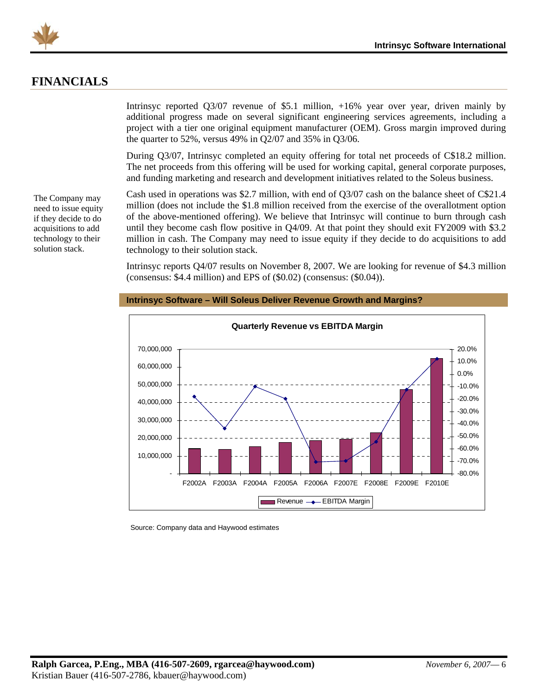<span id="page-6-0"></span>

### **FINANCIALS**

The Company may need to issue equity if they decide to do acquisitions to add technology to their solution stack.

Intrinsyc reported Q3/07 revenue of \$5.1 million, +16% year over year, driven mainly by additional progress made on several significant engineering services agreements, including a project with a tier one original equipment manufacturer (OEM). Gross margin improved during the quarter to 52%, versus 49% in Q2/07 and 35% in Q3/06.

During Q3/07, Intrinsyc completed an equity offering for total net proceeds of C\$18.2 million. The net proceeds from this offering will be used for working capital, general corporate purposes, and funding marketing and research and development initiatives related to the Soleus business.

Cash used in operations was \$2.7 million, with end of Q3/07 cash on the balance sheet of C\$21.4 million (does not include the \$1.8 million received from the exercise of the overallotment option of the above-mentioned offering). We believe that Intrinsyc will continue to burn through cash until they become cash flow positive in Q4/09. At that point they should exit FY2009 with \$3.2 million in cash. The Company may need to issue equity if they decide to do acquisitions to add technology to their solution stack.

Intrinsyc reports Q4/07 results on November 8, 2007. We are looking for revenue of \$4.3 million (consensus: \$4.4 million) and EPS of (\$0.02) (consensus: (\$0.04)).



#### **Intrinsyc Software – Will Soleus Deliver Revenue Growth and Margins?**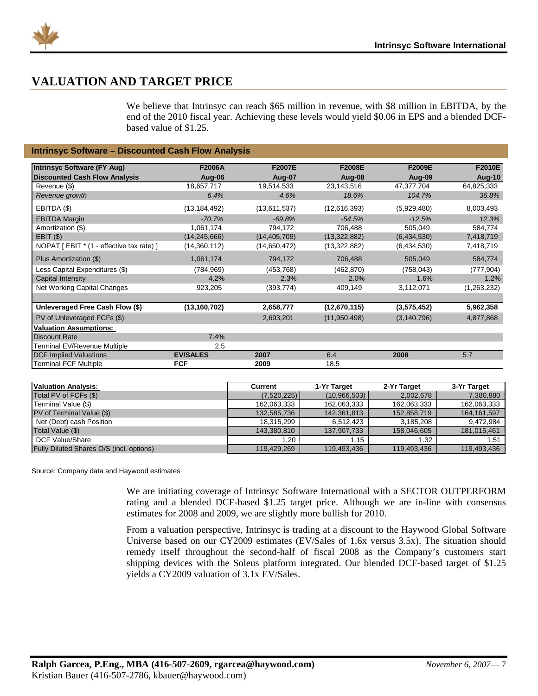<span id="page-7-0"></span>

### **VALUATION AND TARGET PRICE**

We believe that Intrinsyc can reach \$65 million in revenue, with \$8 million in EBITDA, by the end of the 2010 fiscal year. Achieving these levels would yield \$0.06 in EPS and a blended DCFbased value of \$1.25.

#### **Intrinsyc Software – Discounted Cash Flow Analysis**

| <b>Intrinsyc Software (FY Aug)</b>       | F2006A          | <b>F2007E</b>  | <b>F2008E</b> | F2009E        | F2010E      |
|------------------------------------------|-----------------|----------------|---------------|---------------|-------------|
|                                          |                 |                |               |               |             |
| <b>Discounted Cash Flow Analysis</b>     | Aug-06          | Aug-07         | Aug-08        | Aug-09        | Aug-10      |
| Revenue (\$)                             | 18,657,717      | 19,514,533     | 23,143,516    | 47,377,704    | 64,825,333  |
| Revenue growth                           | 6.4%            | 4.6%           | 18.6%         | 104.7%        | 36.8%       |
| EBITDA (\$)                              | (13, 184, 492)  | (13,611,537)   | (12,616,393)  | (5,929,480)   | 8,003,493   |
| <b>EBITDA Margin</b>                     | $-70.7%$        | $-69.8%$       | $-54.5%$      | $-12.5%$      | 12.3%       |
| Amortization (\$)                        | 1,061,174       | 794,172        | 706,488       | 505,049       | 584,774     |
| EBIT(S)                                  | (14, 245, 666)  | (14, 405, 709) | (13,322,882)  | (6,434,530)   | 7,418,719   |
| NOPAT [EBIT * (1 - effective tax rate) ] | (14,360,112)    | (14,650,472)   | (13,322,882)  | (6,434,530)   | 7,418,719   |
| Plus Amortization (\$)                   | 1,061,174       | 794,172        | 706,488       | 505,049       | 584,774     |
| Less Capital Expenditures (\$)           | (784, 969)      | (453, 768)     | (462, 870)    | (758, 043)    | (777, 904)  |
| Capital Intensity                        | 4.2%            | 2.3%           | 2.0%          | 1.6%          | 1.2%        |
| Net Working Capital Changes              | 923,205         | (393, 774)     | 409,149       | 3,112,071     | (1,263,232) |
|                                          |                 |                |               |               |             |
| Unleveraged Free Cash Flow (\$)          | (13,160,702)    | 2,658,777      | (12,670,115)  | (3,575,452)   | 5,962,358   |
| PV of Unleveraged FCFs (\$)              |                 | 2,693,201      | (11,950,498)  | (3, 140, 796) | 4,877,868   |
| <b>Valuation Assumptions:</b>            |                 |                |               |               |             |
| <b>Discount Rate</b>                     | 7.4%            |                |               |               |             |
| Terminal EV/Revenue Multiple             | 2.5             |                |               |               |             |
| <b>DCF Implied Valuations</b>            | <b>EV/SALES</b> | 2007           | 6.4           | 2008          | 5.7         |
| <b>Terminal FCF Multiple</b>             | <b>FCF</b>      | 2009           | 18.5          |               |             |

| <b>Valuation Analysis:</b>               | Current     | 1-Yr Target    | 2-Yr Target | 3-Yr Target   |
|------------------------------------------|-------------|----------------|-------------|---------------|
| Total PV of FCFs (\$)                    | (7,520,225) | (10, 966, 503) | 2,002,678   | 7,380,880     |
| Terminal Value (\$)                      | 162,063,333 | 162,063,333    | 162,063,333 | 162,063,333   |
| PV of Terminal Value (\$)                | 132,585,736 | 142,361,813    | 152,858,719 | 164, 161, 597 |
| Net (Debt) cash Position                 | 18.315.299  | 6.512.423      | 3.185.208   | 9,472,984     |
| Total Value (\$)                         | 143,380,810 | 137,907,733    | 158,046,605 | 181,015,461   |
| DCF Value/Share                          | 1.20        | i.15           | 1.32        | 1.51          |
| Fully Diluted Shares O/S (incl. options) | 119,429,269 | 119,493,436    | 119,493,436 | 119,493,436   |

Source: Company data and Haywood estimates

We are initiating coverage of Intrinsyc Software International with a SECTOR OUTPERFORM rating and a blended DCF-based \$1.25 target price. Although we are in-line with consensus estimates for 2008 and 2009, we are slightly more bullish for 2010.

From a valuation perspective, Intrinsyc is trading at a discount to the Haywood Global Software Universe based on our CY2009 estimates (EV/Sales of 1.6x versus 3.5x). The situation should remedy itself throughout the second-half of fiscal 2008 as the Company's customers start shipping devices with the Soleus platform integrated. Our blended DCF-based target of \$1.25 yields a CY2009 valuation of 3.1x EV/Sales.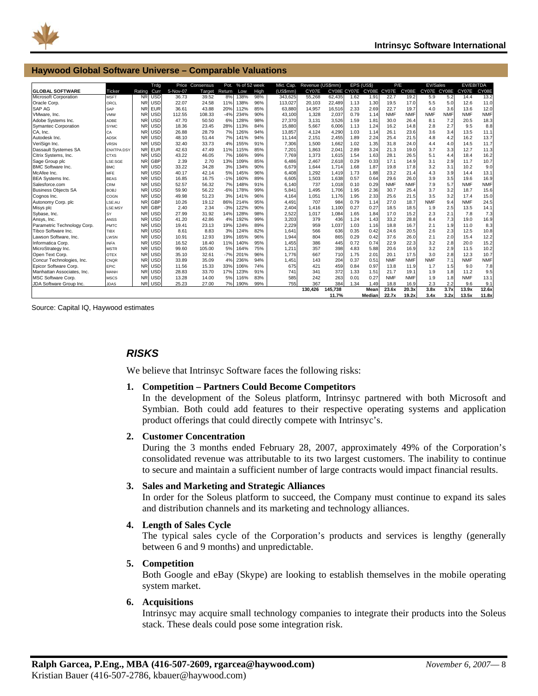<span id="page-8-0"></span>

#### **Haywood Global Software Universe – Comparable Valuations**

| <b>GLOBAL SOFTWARE</b>      | <b>Ticker</b>     | Rating         | Trdg<br>Curr | 5-Nov-07 | Price Consensus<br>Target | Pot.<br>Return | % of 52 week<br>Low | High | Mkt. Cap.<br>(US5mm) | Revenue (US\$mm)<br>CY07E |        | EPS (US\$) | CY08E CY07E CY08E CY07E | P/E        | CY08E      | EV/Sales<br>CY07E CY08E |            | <b>EV/EBITDA</b><br>CY07E | CY08E      |
|-----------------------------|-------------------|----------------|--------------|----------|---------------------------|----------------|---------------------|------|----------------------|---------------------------|--------|------------|-------------------------|------------|------------|-------------------------|------------|---------------------------|------------|
| Microsoft Corporation       | <b>MSFT</b>       | <b>NR</b>      | <b>USD</b>   | 36.73    | 39.52                     | 8%             | 138%                | 98%  | 343,625              | 55,268                    | 62,435 | 1.62       | 1.91                    | 22.7       | 19.2       | 5.9                     | 5.2        | 14.4                      | 13.2       |
| Oracle Corp.                | ORCL              | <b>NR</b>      | <b>USD</b>   | 22.07    | 24.58                     | 11%            | 138%                | 96%  | 113,027              | 20,103                    | 22,489 | 1.13       | 1.30                    | 19.5       | 17.0       | 5.5                     | 5.0        | 12.6                      | 11.0       |
| SAP AG                      | <b>SAP</b>        | <b>NR</b>      | <b>EUR</b>   | 36.61    | 43.88                     | 20%            | 112%                | 85%  | 63.880               | 14.957                    | 16,516 | 2.33       | 2.69                    | 22.7       | 19.7       | 4.0                     | 3.6        | 13.6                      | 12.0       |
| VMware, Inc.                | VMW               | N <sub>R</sub> | <b>USD</b>   | 112.55   | 108.33                    | $-4%$          | 234%                | 90%  | 43.100               | 1.328                     | 2.037  | 0.79       | 1.14                    | <b>NMF</b> | <b>NMF</b> | <b>NMF</b>              | <b>NMF</b> | <b>NMF</b>                | <b>NMF</b> |
| Adobe Systems Inc.          | ADBE              | <b>NR</b>      | <b>USD</b>   | 47.70    | 50.50                     | 6%             | 128%                | 98%  | 27,370               | 3,131                     | 3,526  | 1.59       | 1.81                    | 30.0       | 26.4       | 8.1                     | 7.2        | 20.5                      | 18.3       |
| <b>Symantec Corporation</b> | SYMC              | <b>NR</b>      | <b>USD</b>   | 18.36    | 23.45                     | 28%            | 113%                | 84%  | 15.880               | 5.667                     | 6.006  | 1.13       | 1.24                    | 16.2       | 14.8       | 2.8                     | 2.7        | 9.5                       | 8.8        |
| CA. Inc.                    | CA                | N <sub>R</sub> | <b>USD</b>   | 26.88    | 28.79                     | 7%             | 126%                | 94%  | 13.857               | 4.124                     | 4.290  | 1.03       | 1.14                    | 26.1       | 23.6       | 3.6                     | 3.4        | 13.5                      | 11.1       |
| Autodesk Inc.               | <b>ADSK</b>       | <b>NR</b>      | <b>USD</b>   | 48.10    | 51.44                     | 7%             | 141%                | 94%  | 11,144               | 2,151                     | 2,455  | 1.89       | 2.24                    | 25.4       | 21.5       | 4.8                     | 4.2        | 16.2                      | 13.7       |
| VeriSign Inc.               | <b>VRSN</b>       | <b>NR</b>      | <b>USD</b>   | 32.40    | 33.73                     | 4%             | 155%                | 91%  | 7,306                | 1,500                     | 1.662  | 1.02       | 1.35                    | 31.8       | 24.0       | 4.4                     | 4.0        | 14.5                      | 11.7       |
| Dassault Systemes SA        | <b>ENXTPA:DSY</b> | <b>NR</b>      | <b>EUR</b>   | 42.63    | 47.49                     | 11%            | 115%                | 85%  | 7.201                | 1.863                     | 2,041  | 2.89       | 3.24                    | 21.3       | 19.0       | 3.7                     | 3.3        | 12.7                      | 11.3       |
| Citrix Systems, Inc.        | <b>CTXS</b>       | <b>NR</b>      | <b>USD</b>   | 43.22    | 46.05                     | 7%             | 166%                | 99%  | 7.769                | 1,373                     | 1,615  | 1.54       | 1.63                    | 28.1       | 26.5       | 5.1                     | 4.4        | 18.4                      | 16.2       |
| Sage Group plc              | LSE:SGE           | <b>NR</b>      | <b>GBP</b>   | 2.39     | 2.70                      | 13%            | 109%                | 85%  | 6.486                | 2,467                     | 2,618  | 0.29       | 0.33                    | 17.1       | 14.9       | 3.1                     | 2.9        | 11.7                      | 10.7       |
| <b>BMC Software Inc.</b>    | <b>BMC</b>        | <b>NR</b>      | <b>USD</b>   | 33.22    | 34.28                     | 3%             | 134%                | 90%  | 6.679                | 1.644                     | 1.714  | 1.68       | 1.87                    | 19.8       | 17.8       | 3.2                     | 3.1        | 10.2                      | 9.0        |
| McAfee Inc.                 | <b>MFF</b>        | <b>NR</b>      | <b>USD</b>   | 40.17    | 42.14                     | 5%             | 145%                | 96%  | 6,408                | 1,292                     | 1,419  | 1.73       | 1.88                    | 23.2       | 21.4       | 4.3                     | 3.9        | 14.4                      | 13.1       |
| <b>BEA Systems Inc.</b>     | <b>BEAS</b>       | <b>NR</b>      | <b>USD</b>   | 16.85    | 16.75                     | $-1%$          | 160%                | 89%  | 6.605                | 1,503                     | 1,638  | 0.57       | 0.64                    | 29.6       | 26.0       | 3.9                     | 3.5        | 19.6                      | 16.9       |
| Salesforce.com              | <b>CRM</b>        | <b>NR</b>      | <b>USD</b>   | 52.57    | 56.32                     | 7%             | 148%                | 91%  | 6,140                | 737                       | 1,018  | 0.10       | 0.29                    | <b>NMF</b> | <b>NMF</b> | 7.9                     | 5.7        | <b>NMF</b>                | <b>NMF</b> |
| <b>Business Objects SA</b>  | <b>BOBJ</b>       | <b>NR</b>      | <b>USD</b>   | 59.90    | 56.22                     | $-6%$          | 178%                | 99%  | 5,841                | 1,495                     | 1,706  | 1.95       | 2.36                    | 30.7       | 25.4       | 3.7                     | 3.2        | 18.7                      | 15.6       |
| Cognos Inc.                 | COGN              | <b>NR</b>      | <b>USD</b>   | 49.98    | 51.23                     | 3%             | 141%                | 96%  | 4,164                | 1,051                     | 1,176  | 1.95       | 2.33                    | 25.6       | 21.5       | 3.5                     | 3.2        | 17.4                      | 15.0       |
| Autonomy Corp. plc          | LSE:AU            | N <sub>R</sub> | <b>GBP</b>   | 10.26    | 19.12                     | 86%            | 214%                | 95%  | 4.491                | 707                       | 984    | 0.79       | 1.14                    | 27.0       | 18.7       | <b>NMF</b>              | 9.4        | <b>NMF</b>                | 24.5       |
| Misys plc                   | LSE:MSY           | N <sub>R</sub> | <b>GBP</b>   | 2.40     | 2.34                      | $-3%$          | 122%                | 90%  | 2.404                | 1.416                     | 1.100  | 0.27       | 0.27                    | 18.5       | 18.5       | 1.9                     | 2.5        | 13.5                      | 14.1       |
| Sybase, Inc.                | SY                | <b>NR</b>      | <b>USD</b>   | 27.99    | 31.92                     | 14%            | 128%                | 98%  | 2,522                | 1,017                     | 1,084  | 1.65       | 1.84                    | 17.0       | 15.2       | 2.3                     | 2.1        | 7.8                       | 7.3        |
| Ansys, Inc.                 | ANSS              | <b>NR</b>      | <b>USD</b>   | 41.20    | 42.86                     | 4%             | 192%                | 99%  | 3.203                | 379                       | 436    | 1.24       | 1.43                    | 33.2       | 28.8       | 8.4                     | 7.3        | 19.0                      | 16.9       |
| Parametric Technology Corp. | PMTC              | <b>NR</b>      | <b>USD</b>   | 19.41    | 23.13                     | 19%            | 124%                | 89%  | 2.229                | 959                       | 1.037  | 1.03       | 1.16                    | 18.8       | 16.7       | 2.1                     | 1.9        | 11.0                      | 8.3        |
| Tibco Software Inc.         | TIBX              | <b>NR</b>      | <b>USD</b>   | 8.61     | 8.83                      | 3%             | 124%                | 82%  | 1.641                | 566                       | 636    | 0.35       | 0.42                    | 24.6       | 20.5       | 2.6                     | 2.3        | 12.5                      | 10.8       |
| Lawson Software, Inc.       | LWSN              | <b>NR</b>      | <b>USD</b>   | 10.91    | 12.93                     | 19%            | 165%                | 96%  | 1,944                | 804                       | 865    | 0.29       | 0.42                    | 37.6       | 26.0       | 2.1                     | 2.0        | 15.4                      | 12.2       |
| Informatica Corp.           | <b>INFA</b>       | <b>NR</b>      | <b>USD</b>   | 16.52    | 18.40                     | 11%            | 140%                | 95%  | 1.455                | 386                       | 445    | 0.72       | 0.74                    | 22.9       | 22.3       | 3.2                     | 2.8        | 20.0                      | 15.2       |
| MicroStrategy Inc.          | <b>MSTR</b>       | <b>NR</b>      | <b>USD</b>   | 99.60    | 105.00                    | 5%             | 164%                | 75%  | 1,211                | 357                       | 398    | 4.83       | 5.88                    | 20.6       | 16.9       | 3.2                     | 2.9        | 11.5                      | 10.2       |
| Open Text Corp.             | <b>OTEX</b>       | <b>NR</b>      | <b>USD</b>   | 35.10    | 32.61                     | $-7%$          | 201%                | 96%  | 1.776                | 667                       | 710    | 1.75       | 2.01                    | 20.1       | 17.5       | 3.0                     | 2.8        | 12.3                      | 10.7       |
| Concur Technologies, Inc.   | CNQR              | <b>NR</b>      | <b>USD</b>   | 33.89    | 35.09                     | 4%             | 236%                | 94%  | 1.451                | 143                       | 204    | 0.37       | 0.51                    | <b>NMF</b> | <b>NMF</b> | <b>NMF</b>              | 7.1        | <b>NMF</b>                | <b>NMF</b> |
| Epicor Software Corp.       | EPIC              | <b>NR</b>      | <b>USD</b>   | 11.56    | 15.33                     | 33%            | 106%                | 74%  | 675                  | 421                       | 459    | 0.84       | 0.97                    | 13.8       | 11.9       | 1.7                     | 1.5        | 9.0                       | 7.8        |
| Manhattan Associates, Inc.  | MANH              | <b>NR</b>      | <b>USD</b>   | 28.83    | 33.70                     | 17%            | 123%                | 91%  | 741                  | 341                       | 372    | 1.33       | 1.51                    | 21.7       | 19.1       | 1.9                     | 1.8        | 11.2                      | 9.5        |
| MSC Software Corp.          | <b>MSCS</b>       | <b>NR</b>      | <b>USD</b>   | 13.28    | 14.00                     | 5%             | 116%                | 83%  | 585                  | 242                       | 263    | 0.01       | 0.27                    | <b>NMF</b> | <b>NMF</b> | 1.9                     | 1.8        | <b>NMF</b>                | 13.1       |
| JDA Software Group Inc.     | <b>JDAS</b>       | <b>NR</b>      | <b>USD</b>   | 25.23    | 27.00                     | 7%             | 190%                | 99%  | 755                  | 367                       | 384    | 1.34       | 1.49                    | 18.8       | 16.9       | 2.3                     | 2.2        | 9.6                       | 9.1        |
|                             |                   |                |              |          |                           |                |                     |      |                      | 130,426                   | 45.738 |            | Mean                    | 23.6x      | 20.3x      | 3.8x                    | 3.7x       | 13.9x                     | 12.6x      |
|                             |                   |                |              |          |                           |                |                     |      |                      |                           | 11.7%  |            | Median                  | 22.7x      | 19.2x      | 3.4x                    | 3.2x       | 13.5x                     | 11.8x      |

Source: Capital IQ, Haywood estimates

### *RISKS*

We believe that Intrinsyc Software faces the following risks:

#### **1. Competition – Partners Could Become Competitors**

In the development of the Soleus platform, Intrinsyc partnered with both Microsoft and Symbian. Both could add features to their respective operating systems and application product offerings that could directly compete with Intrinsyc's.

#### **2. Customer Concentration**

During the 3 months ended February 28, 2007, approximately 49% of the Corporation's consolidated revenue was attributable to its two largest customers. The inability to continue to secure and maintain a sufficient number of large contracts would impact financial results.

#### **3. Sales and Marketing and Strategic Alliances**

In order for the Soleus platform to succeed, the Company must continue to expand its sales and distribution channels and its marketing and technology alliances.

#### **4. Length of Sales Cycle**

The typical sales cycle of the Corporation's products and services is lengthy (generally between 6 and 9 months) and unpredictable.

#### **5. Competition**

Both Google and eBay (Skype) are looking to establish themselves in the mobile operating system market.

#### **6. Acquisitions**

Intrinsyc may acquire small technology companies to integrate their products into the Soleus stack. These deals could pose some integration risk.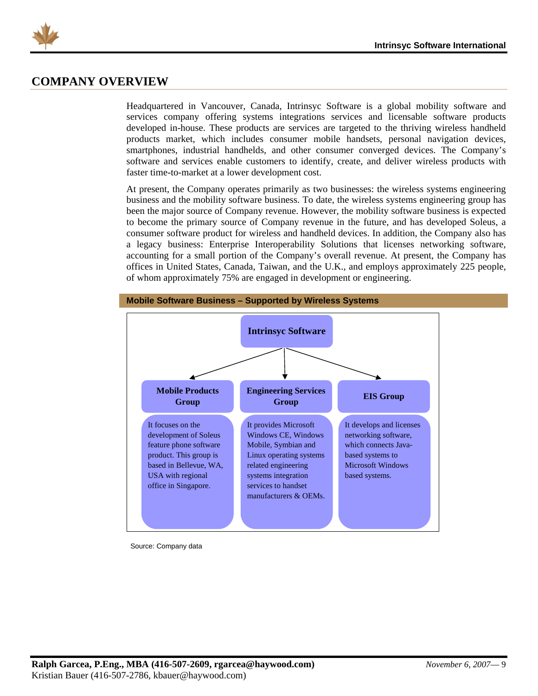<span id="page-9-0"></span>

### **COMPANY OVERVIEW**

Headquartered in Vancouver, Canada, Intrinsyc Software is a global mobility software and services company offering systems integrations services and licensable software products developed in-house. These products are services are targeted to the thriving wireless handheld products market, which includes consumer mobile handsets, personal navigation devices, smartphones, industrial handhelds, and other consumer converged devices. The Company's software and services enable customers to identify, create, and deliver wireless products with faster time-to-market at a lower development cost.

At present, the Company operates primarily as two businesses: the wireless systems engineering business and the mobility software business. To date, the wireless systems engineering group has been the major source of Company revenue. However, the mobility software business is expected to become the primary source of Company revenue in the future, and has developed Soleus, a consumer software product for wireless and handheld devices. In addition, the Company also has a legacy business: Enterprise Interoperability Solutions that licenses networking software, accounting for a small portion of the Company's overall revenue. At present, the Company has offices in United States, Canada, Taiwan, and the U.K., and employs approximately 225 people, of whom approximately 75% are engaged in development or engineering.



Source: Company data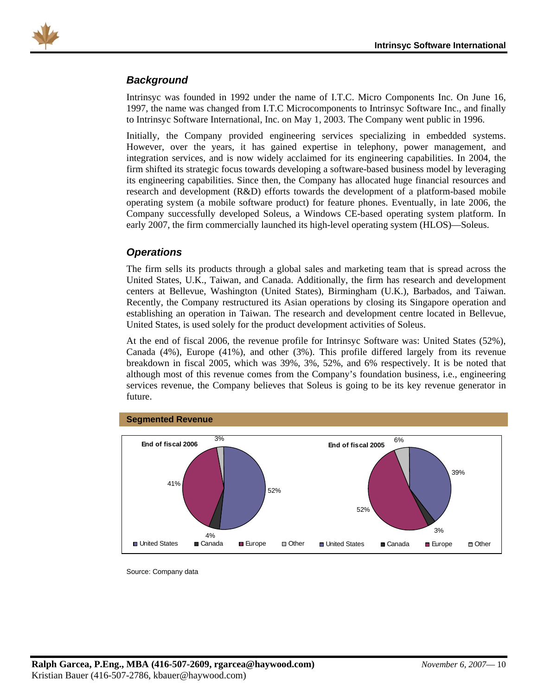<span id="page-10-0"></span>

### *Background*

Intrinsyc was founded in 1992 under the name of I.T.C. Micro Components Inc. On June 16, 1997, the name was changed from I.T.C Microcomponents to Intrinsyc Software Inc., and finally to Intrinsyc Software International, Inc. on May 1, 2003. The Company went public in 1996.

Initially, the Company provided engineering services specializing in embedded systems. However, over the years, it has gained expertise in telephony, power management, and integration services, and is now widely acclaimed for its engineering capabilities. In 2004, the firm shifted its strategic focus towards developing a software-based business model by leveraging its engineering capabilities. Since then, the Company has allocated huge financial resources and research and development (R&D) efforts towards the development of a platform-based mobile operating system (a mobile software product) for feature phones. Eventually, in late 2006, the Company successfully developed Soleus, a Windows CE-based operating system platform. In early 2007, the firm commercially launched its high-level operating system (HLOS)—Soleus.

### *Operations*

The firm sells its products through a global sales and marketing team that is spread across the United States, U.K., Taiwan, and Canada. Additionally, the firm has research and development centers at Bellevue, Washington (United States), Birmingham (U.K.), Barbados, and Taiwan. Recently, the Company restructured its Asian operations by closing its Singapore operation and establishing an operation in Taiwan. The research and development centre located in Bellevue, United States, is used solely for the product development activities of Soleus.

At the end of fiscal 2006, the revenue profile for Intrinsyc Software was: United States (52%), Canada (4%), Europe (41%), and other (3%). This profile differed largely from its revenue breakdown in fiscal 2005, which was 39%, 3%, 52%, and 6% respectively. It is be noted that although most of this revenue comes from the Company's foundation business, i.e., engineering services revenue, the Company believes that Soleus is going to be its key revenue generator in future.



Source: Company data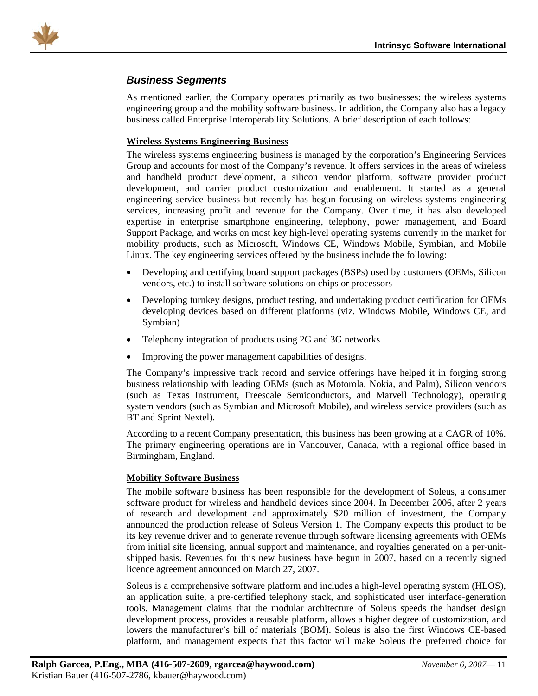<span id="page-11-0"></span>

### *Business Segments*

As mentioned earlier, the Company operates primarily as two businesses: the wireless systems engineering group and the mobility software business. In addition, the Company also has a legacy business called Enterprise Interoperability Solutions. A brief description of each follows:

#### **Wireless Systems Engineering Business**

The wireless systems engineering business is managed by the corporation's Engineering Services Group and accounts for most of the Company's revenue. It offers services in the areas of wireless and handheld product development, a silicon vendor platform, software provider product development, and carrier product customization and enablement. It started as a general engineering service business but recently has begun focusing on wireless systems engineering services, increasing profit and revenue for the Company. Over time, it has also developed expertise in enterprise smartphone engineering, telephony, power management, and Board Support Package, and works on most key high-level operating systems currently in the market for mobility products, such as Microsoft, Windows CE, Windows Mobile, Symbian, and Mobile Linux. The key engineering services offered by the business include the following:

- Developing and certifying board support packages (BSPs) used by customers (OEMs, Silicon vendors, etc.) to install software solutions on chips or processors
- Developing turnkey designs, product testing, and undertaking product certification for OEMs developing devices based on different platforms (viz. Windows Mobile, Windows CE, and Symbian)
- Telephony integration of products using 2G and 3G networks
- Improving the power management capabilities of designs.

The Company's impressive track record and service offerings have helped it in forging strong business relationship with leading OEMs (such as Motorola, Nokia, and Palm), Silicon vendors (such as Texas Instrument, Freescale Semiconductors, and Marvell Technology), operating system vendors (such as Symbian and Microsoft Mobile), and wireless service providers (such as BT and Sprint Nextel).

According to a recent Company presentation, this business has been growing at a CAGR of 10%. The primary engineering operations are in Vancouver, Canada, with a regional office based in Birmingham, England.

#### **Mobility Software Business**

The mobile software business has been responsible for the development of Soleus, a consumer software product for wireless and handheld devices since 2004. In December 2006, after 2 years of research and development and approximately \$20 million of investment, the Company announced the production release of Soleus Version 1. The Company expects this product to be its key revenue driver and to generate revenue through software licensing agreements with OEMs from initial site licensing, annual support and maintenance, and royalties generated on a per-unitshipped basis. Revenues for this new business have begun in 2007, based on a recently signed licence agreement announced on March 27, 2007.

Soleus is a comprehensive software platform and includes a high-level operating system (HLOS), an application suite, a pre-certified telephony stack, and sophisticated user interface-generation tools. Management claims that the modular architecture of Soleus speeds the handset design development process, provides a reusable platform, allows a higher degree of customization, and lowers the manufacturer's bill of materials (BOM). Soleus is also the first Windows CE-based platform, and management expects that this factor will make Soleus the preferred choice for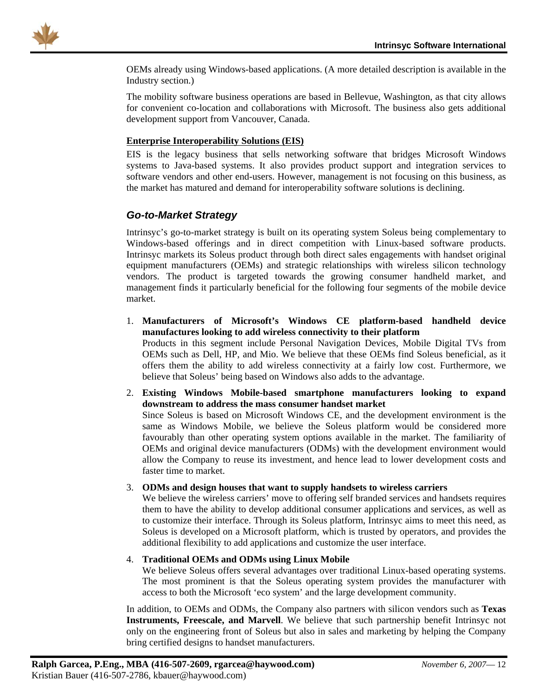<span id="page-12-0"></span>

OEMs already using Windows-based applications. (A more detailed description is available in the Industry section.)

The mobility software business operations are based in Bellevue, Washington, as that city allows for convenient co-location and collaborations with Microsoft. The business also gets additional development support from Vancouver, Canada.

#### **Enterprise Interoperability Solutions (EIS)**

EIS is the legacy business that sells networking software that bridges Microsoft Windows systems to Java-based systems. It also provides product support and integration services to software vendors and other end-users. However, management is not focusing on this business, as the market has matured and demand for interoperability software solutions is declining.

#### *Go-to-Market Strategy*

Intrinsyc's go-to-market strategy is built on its operating system Soleus being complementary to Windows-based offerings and in direct competition with Linux-based software products. Intrinsyc markets its Soleus product through both direct sales engagements with handset original equipment manufacturers (OEMs) and strategic relationships with wireless silicon technology vendors. The product is targeted towards the growing consumer handheld market, and management finds it particularly beneficial for the following four segments of the mobile device market.

- 1. **Manufacturers of Microsoft's Windows CE platform-based handheld device manufactures looking to add wireless connectivity to their platform** Products in this segment include Personal Navigation Devices, Mobile Digital TVs from OEMs such as Dell, HP, and Mio. We believe that these OEMs find Soleus beneficial, as it offers them the ability to add wireless connectivity at a fairly low cost. Furthermore, we believe that Soleus' being based on Windows also adds to the advantage.
- 2. **Existing Windows Mobile-based smartphone manufacturers looking to expand downstream to address the mass consumer handset market**

Since Soleus is based on Microsoft Windows CE, and the development environment is the same as Windows Mobile, we believe the Soleus platform would be considered more favourably than other operating system options available in the market. The familiarity of OEMs and original device manufacturers (ODMs) with the development environment would allow the Company to reuse its investment, and hence lead to lower development costs and faster time to market.

#### 3. **ODMs and design houses that want to supply handsets to wireless carriers**

We believe the wireless carriers' move to offering self branded services and handsets requires them to have the ability to develop additional consumer applications and services, as well as to customize their interface. Through its Soleus platform, Intrinsyc aims to meet this need, as Soleus is developed on a Microsoft platform, which is trusted by operators, and provides the additional flexibility to add applications and customize the user interface.

#### 4. **Traditional OEMs and ODMs using Linux Mobile**

We believe Soleus offers several advantages over traditional Linux-based operating systems. The most prominent is that the Soleus operating system provides the manufacturer with access to both the Microsoft 'eco system' and the large development community.

In addition, to OEMs and ODMs, the Company also partners with silicon vendors such as **Texas Instruments, Freescale, and Marvell**. We believe that such partnership benefit Intrinsyc not only on the engineering front of Soleus but also in sales and marketing by helping the Company bring certified designs to handset manufacturers.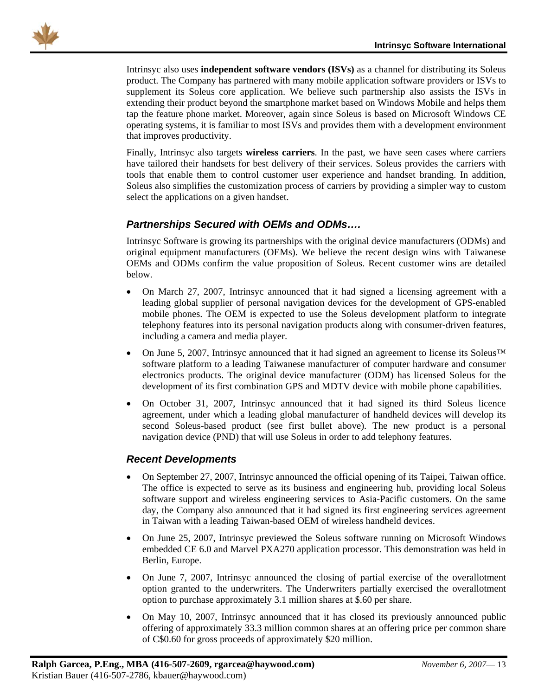<span id="page-13-0"></span>

Intrinsyc also uses **independent software vendors (ISVs)** as a channel for distributing its Soleus product. The Company has partnered with many mobile application software providers or ISVs to supplement its Soleus core application. We believe such partnership also assists the ISVs in extending their product beyond the smartphone market based on Windows Mobile and helps them tap the feature phone market. Moreover, again since Soleus is based on Microsoft Windows CE operating systems, it is familiar to most ISVs and provides them with a development environment that improves productivity.

Finally, Intrinsyc also targets **wireless carriers**. In the past, we have seen cases where carriers have tailored their handsets for best delivery of their services. Soleus provides the carriers with tools that enable them to control customer user experience and handset branding. In addition, Soleus also simplifies the customization process of carriers by providing a simpler way to custom select the applications on a given handset.

### *Partnerships Secured with OEMs and ODMs….*

Intrinsyc Software is growing its partnerships with the original device manufacturers (ODMs) and original equipment manufacturers (OEMs). We believe the recent design wins with Taiwanese OEMs and ODMs confirm the value proposition of Soleus. Recent customer wins are detailed below.

- On March 27, 2007, Intrinsyc announced that it had signed a licensing agreement with a leading global supplier of personal navigation devices for the development of GPS-enabled mobile phones. The OEM is expected to use the Soleus development platform to integrate telephony features into its personal navigation products along with consumer-driven features, including a camera and media player.
- On June 5, 2007, Intrinsyc announced that it had signed an agreement to license its Soleus™ software platform to a leading Taiwanese manufacturer of computer hardware and consumer electronics products. The original device manufacturer (ODM) has licensed Soleus for the development of its first combination GPS and MDTV device with mobile phone capabilities.
- On October 31, 2007, Intrinsyc announced that it had signed its third Soleus licence agreement, under which a leading global manufacturer of handheld devices will develop its second Soleus-based product (see first bullet above). The new product is a personal navigation device (PND) that will use Soleus in order to add telephony features.

### *Recent Developments*

- On September 27, 2007, Intrinsyc announced the official opening of its Taipei, Taiwan office. The office is expected to serve as its business and engineering hub, providing local Soleus software support and wireless engineering services to Asia-Pacific customers. On the same day, the Company also announced that it had signed its first engineering services agreement in Taiwan with a leading Taiwan-based OEM of wireless handheld devices.
- On June 25, 2007, Intrinsyc previewed the Soleus software running on Microsoft Windows embedded CE 6.0 and Marvel PXA270 application processor. This demonstration was held in Berlin, Europe.
- On June 7, 2007, Intrinsyc announced the closing of partial exercise of the overallotment option granted to the underwriters. The Underwriters partially exercised the overallotment option to purchase approximately 3.1 million shares at \$.60 per share.
- On May 10, 2007, Intrinsyc announced that it has closed its previously announced public offering of approximately 33.3 million common shares at an offering price per common share of C\$0.60 for gross proceeds of approximately \$20 million.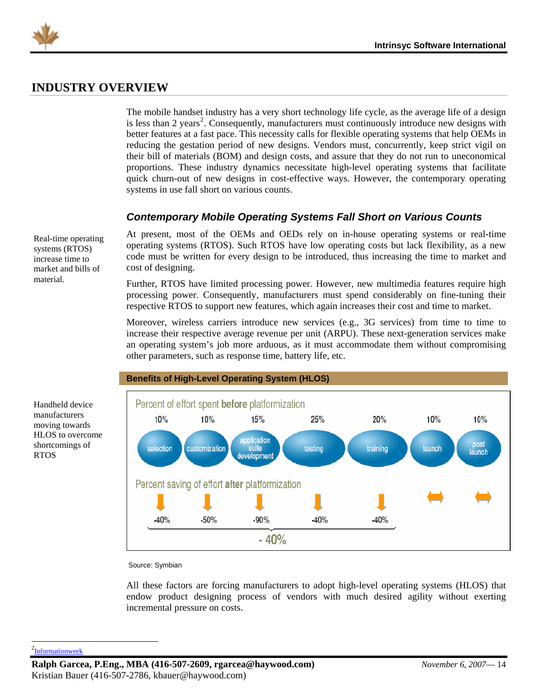<span id="page-14-0"></span>

### **INDUSTRY OVERVIEW**

The mobile handset industry has a very short technology life cycle, as the average life of a design is less than [2](#page-14-1) years<sup>2</sup>. Consequently, manufacturers must continuously introduce new designs with better features at a fast pace. This necessity calls for flexible operating systems that help OEMs in reducing the gestation period of new designs. Vendors must, concurrently, keep strict vigil on their bill of materials (BOM) and design costs, and assure that they do not run to uneconomical proportions. These industry dynamics necessitate high-level operating systems that facilitate quick churn-out of new designs in cost-effective ways. However, the contemporary operating systems in use fall short on various counts.

### *Contemporary Mobile Operating Systems Fall Short on Various Counts*

Real-time operating systems (RTOS) increase time to market and bills of material.

At present, most of the OEMs and OEDs rely on in-house operating systems or real-time operating systems (RTOS). Such RTOS have low operating costs but lack flexibility, as a new code must be written for every design to be introduced, thus increasing the time to market and cost of designing.

Further, RTOS have limited processing power. However, new multimedia features require high processing power. Consequently, manufacturers must spend considerably on fine-tuning their respective RTOS to support new features, which again increases their cost and time to market.

Moreover, wireless carriers introduce new services (e.g., 3G services) from time to time to increase their respective average revenue per unit (ARPU). These next-generation services make an operating system's job more arduous, as it must accommodate them without compromising other parameters, such as response time, battery life, etc.



Source: Symbian

All these factors are forcing manufacturers to adopt high-level operating systems (HLOS) that endow product designing process of vendors with much desired agility without exerting incremental pressure on costs.

Handheld device manufacturers moving towards HLOS to overcome shortcomings of

RTOS

<span id="page-14-1"></span><sup>2</sup>[Informationweek](http://www.informationweek.com/story/showArticle.jhtml?articleID=172901226)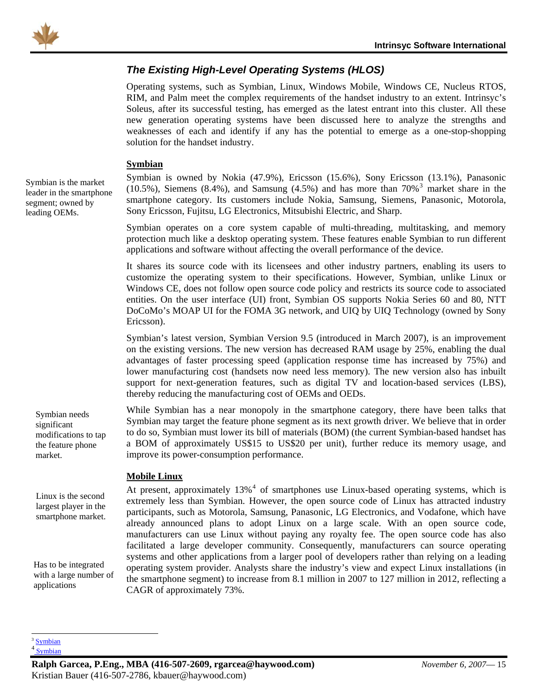<span id="page-15-0"></span>

### *The Existing High-Level Operating Systems (HLOS)*

Operating systems, such as Symbian, Linux, Windows Mobile, Windows CE, Nucleus RTOS, RIM, and Palm meet the complex requirements of the handset industry to an extent. Intrinsyc's Soleus, after its successful testing, has emerged as the latest entrant into this cluster. All these new generation operating systems have been discussed here to analyze the strengths and weaknesses of each and identify if any has the potential to emerge as a one-stop-shopping solution for the handset industry.

#### **Symbian**

Symbian is owned by Nokia (47.9%), Ericsson (15.6%), Sony Ericsson (13.1%), Panasonic  $(10.5\%)$ , Siemens  $(8.4\%)$ , and Samsung  $(4.5\%)$  and has more than  $70\%$ <sup>[3](#page-15-1)</sup> market share in the smartphone category. Its customers include Nokia, Samsung, Siemens, Panasonic, Motorola, Sony Ericsson, Fujitsu, LG Electronics, Mitsubishi Electric, and Sharp.

Symbian operates on a core system capable of multi-threading, multitasking, and memory protection much like a desktop operating system. These features enable Symbian to run different applications and software without affecting the overall performance of the device.

It shares its source code with its licensees and other industry partners, enabling its users to customize the operating system to their specifications. However, Symbian, unlike Linux or Windows CE, does not follow open source code policy and restricts its source code to associated entities. On the user interface (UI) front, Symbian OS supports Nokia Series 60 and 80, NTT DoCoMo's MOAP UI for the FOMA 3G network, and UIQ by UIQ Technology (owned by Sony Ericsson).

Symbian's latest version, Symbian Version 9.5 (introduced in March 2007), is an improvement on the existing versions. The new version has decreased RAM usage by 25%, enabling the dual advantages of faster processing speed (application response time has increased by 75%) and lower manufacturing cost (handsets now need less memory). The new version also has inbuilt support for next-generation features, such as digital TV and location-based services (LBS), thereby reducing the manufacturing cost of OEMs and OEDs.

While Symbian has a near monopoly in the smartphone category, there have been talks that Symbian may target the feature phone segment as its next growth driver. We believe that in order to do so, Symbian must lower its bill of materials (BOM) (the current Symbian-based handset has a BOM of approximately US\$15 to US\$20 per unit), further reduce its memory usage, and improve its power-consumption performance.

#### **Mobile Linux**

At present, approximately  $13\%$ <sup>[4](#page-15-2)</sup> of smartphones use Linux-based operating systems, which is extremely less than Symbian. However, the open source code of Linux has attracted industry participants, such as Motorola, Samsung, Panasonic, LG Electronics, and Vodafone, which have already announced plans to adopt Linux on a large scale. With an open source code, manufacturers can use Linux without paying any royalty fee. The open source code has also facilitated a large developer community. Consequently, manufacturers can source operating systems and other applications from a larger pool of developers rather than relying on a leading operating system provider. Analysts share the industry's view and expect Linux installations (in the smartphone segment) to increase from 8.1 million in 2007 to 127 million in 2012, reflecting a CAGR of approximately 73%.

Symbian is the market leader in the smartphone segment; owned by leading OEMs.

> Symbian needs significant modifications to tap the feature phone market.

> Linux is the second largest player in the smartphone market.

Has to be integrated with a large number of applications

<span id="page-15-2"></span><span id="page-15-1"></span><sup>&</sup>lt;sup>3</sup> [Symbian](http://www.symbian.com/about/fastfacts/fastfacts.html)  $\frac{4}{3}$  [Symbian](http://www.symbian.com/about/fastfacts/fastfacts.html)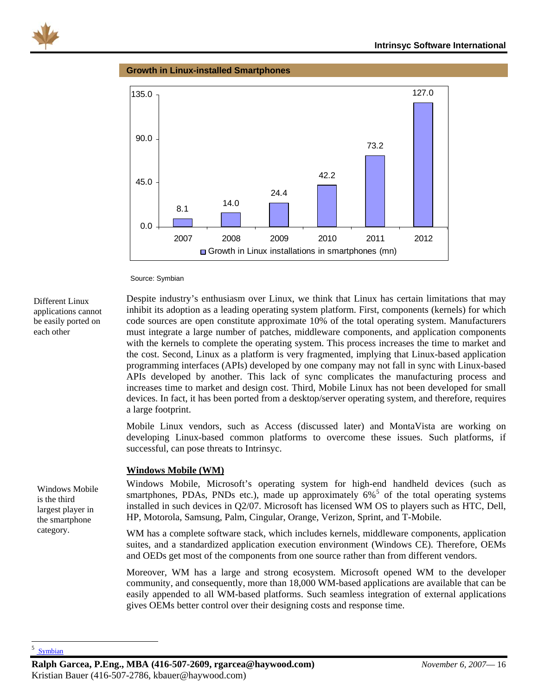<span id="page-16-0"></span>

#### **Growth in Linux-installed Smartphones**



Source: Symbian

Different Linux applications cannot be easily ported on each other

Despite industry's enthusiasm over Linux, we think that Linux has certain limitations that may inhibit its adoption as a leading operating system platform. First, components (kernels) for which code sources are open constitute approximate 10% of the total operating system. Manufacturers must integrate a large number of patches, middleware components, and application components with the kernels to complete the operating system. This process increases the time to market and the cost. Second, Linux as a platform is very fragmented, implying that Linux-based application programming interfaces (APIs) developed by one company may not fall in sync with Linux-based APIs developed by another. This lack of sync complicates the manufacturing process and increases time to market and design cost. Third, Mobile Linux has not been developed for small devices. In fact, it has been ported from a desktop/server operating system, and therefore, requires a large footprint.

Mobile Linux vendors, such as Access (discussed later) and MontaVista are working on developing Linux-based common platforms to overcome these issues. Such platforms, if successful, can pose threats to Intrinsyc.

#### **Windows Mobile (WM)**

Windows Mobile, Microsoft's operating system for high-end handheld devices (such as smartphones, PDAs, PNDs etc.), made up approximately  $6\%$ <sup>[5](#page-16-1)</sup> of the total operating systems installed in such devices in Q2/07. Microsoft has licensed WM OS to players such as HTC, Dell, HP, Motorola, Samsung, Palm, Cingular, Orange, Verizon, Sprint, and T-Mobile.

WM has a complete software stack, which includes kernels, middleware components, application suites, and a standardized application execution environment (Windows CE). Therefore, OEMs and OEDs get most of the components from one source rather than from different vendors.

Moreover, WM has a large and strong ecosystem. Microsoft opened WM to the developer community, and consequently, more than 18,000 WM-based applications are available that can be easily appended to all WM-based platforms. Such seamless integration of external applications gives OEMs better control over their designing costs and response time.

Windows Mobile is the third largest player in the smartphone category.

#### <span id="page-16-1"></span>5 [Symbian](http://www.symbian.com/about/fastfacts/fastfacts.html)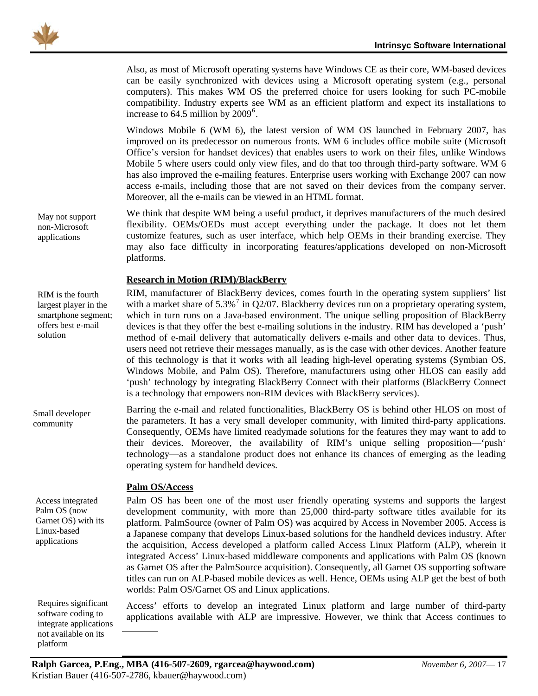<span id="page-17-0"></span>Also, as most of Microsoft operating systems have Windows CE as their core, WM-based devices can be easily synchronized with devices using a Microsoft operating system (e.g., personal computers). This makes WM OS the preferred choice for users looking for such PC-mobile compatibility. Industry experts see WM as an efficient platform and expect its installations to increase to  $64.5$  $64.5$  million by  $2009^6$ .

Windows Mobile 6 (WM 6), the latest version of WM OS launched in February 2007, has improved on its predecessor on numerous fronts. WM 6 includes office mobile suite (Microsoft Office's version for handset devices) that enables users to work on their files, unlike Windows Mobile 5 where users could only view files, and do that too through third-party software. WM 6 has also improved the e-mailing features. Enterprise users working with Exchange 2007 can now access e-mails, including those that are not saved on their devices from the company server. Moreover, all the e-mails can be viewed in an HTML format.

We think that despite WM being a useful product, it deprives manufacturers of the much desired flexibility. OEMs/OEDs must accept everything under the package. It does not let them customize features, such as user interface, which help OEMs in their branding exercise. They may also face difficulty in incorporating features/applications developed on non-Microsoft platforms.

#### **Research in Motion (RIM)/BlackBerry**

RIM, manufacturer of BlackBerry devices, comes fourth in the operating system suppliers' list with a market share of  $5.3\%$ <sup>[7](#page-17-2)</sup> in Q2/07. Blackberry devices run on a proprietary operating system, which in turn runs on a Java-based environment. The unique selling proposition of BlackBerry devices is that they offer the best e-mailing solutions in the industry. RIM has developed a 'push' method of e-mail delivery that automatically delivers e-mails and other data to devices. Thus, users need not retrieve their messages manually, as is the case with other devices. Another feature of this technology is that it works with all leading high-level operating systems (Symbian OS, Windows Mobile, and Palm OS). Therefore, manufacturers using other HLOS can easily add 'push' technology by integrating BlackBerry Connect with their platforms (BlackBerry Connect is a technology that empowers non-RIM devices with BlackBerry services).

Barring the e-mail and related functionalities, BlackBerry OS is behind other HLOS on most of the parameters. It has a very small developer community, with limited third-party applications. Consequently, OEMs have limited readymade solutions for the features they may want to add to their devices. Moreover, the availability of RIM's unique selling proposition—'push' technology—as a standalone product does not enhance its chances of emerging as the leading operating system for handheld devices.

#### **Palm OS/Access**

Palm OS has been one of the most user friendly operating systems and supports the largest development community, with more than 25,000 third-party software titles available for its platform. PalmSource (owner of Palm OS) was acquired by Access in November 2005. Access is a Japanese company that develops Linux-based solutions for the handheld devices industry. After the acquisition, Access developed a platform called Access Linux Platform (ALP), wherein it integrated Access' Linux-based middleware components and applications with Palm OS (known as Garnet OS after the PalmSource acquisition). Consequently, all Garnet OS supporting software titles can run on ALP-based mobile devices as well. Hence, OEMs using ALP get the best of both worlds: Palm OS/Garnet OS and Linux applications.

Access' efforts to develop an integrated Linux platform and large number of third-party applications available with ALP are impressive. However, we think that Access continues to

May not support non-Microsoft applications

RIM is the fourth largest player in the smartphone segment; offers best e-mail solution

Small developer community

Access integrated Palm OS (now Garnet OS) with its Linux-based applications

<span id="page-17-2"></span><span id="page-17-1"></span>not available on its<br>platform Requires significant software coding to integrate applications platform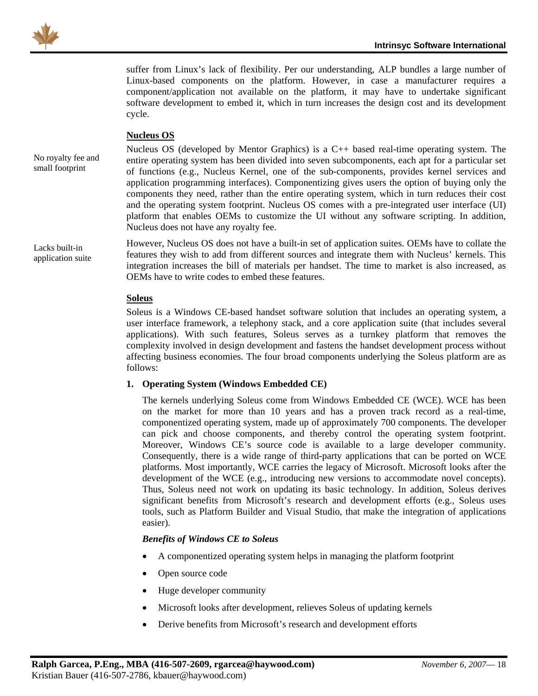<span id="page-18-0"></span>

suffer from Linux's lack of flexibility. Per our understanding, ALP bundles a large number of Linux-based components on the platform. However, in case a manufacturer requires a component/application not available on the platform, it may have to undertake significant software development to embed it, which in turn increases the design cost and its development cycle.

#### **Nucleus OS**

No royalty fee and small footprint

Lacks built-in application suite Nucleus OS (developed by Mentor Graphics) is a C++ based real-time operating system. The entire operating system has been divided into seven subcomponents, each apt for a particular set of functions (e.g., Nucleus Kernel, one of the sub-components, provides kernel services and application programming interfaces). Componentizing gives users the option of buying only the components they need, rather than the entire operating system, which in turn reduces their cost and the operating system footprint. Nucleus OS comes with a pre-integrated user interface (UI) platform that enables OEMs to customize the UI without any software scripting. In addition, Nucleus does not have any royalty fee.

However, Nucleus OS does not have a built-in set of application suites. OEMs have to collate the features they wish to add from different sources and integrate them with Nucleus' kernels. This integration increases the bill of materials per handset. The time to market is also increased, as OEMs have to write codes to embed these features.

#### **Soleus**

Soleus is a Windows CE-based handset software solution that includes an operating system, a user interface framework, a telephony stack, and a core application suite (that includes several applications). With such features, Soleus serves as a turnkey platform that removes the complexity involved in design development and fastens the handset development process without affecting business economies. The four broad components underlying the Soleus platform are as follows:

#### **1. Operating System (Windows Embedded CE)**

The kernels underlying Soleus come from Windows Embedded CE (WCE). WCE has been on the market for more than 10 years and has a proven track record as a real-time, componentized operating system, made up of approximately 700 components. The developer can pick and choose components, and thereby control the operating system footprint. Moreover, Windows CE's source code is available to a large developer community. Consequently, there is a wide range of third-party applications that can be ported on WCE platforms. Most importantly, WCE carries the legacy of Microsoft. Microsoft looks after the development of the WCE (e.g., introducing new versions to accommodate novel concepts). Thus, Soleus need not work on updating its basic technology. In addition, Soleus derives significant benefits from Microsoft's research and development efforts (e.g., Soleus uses tools, such as Platform Builder and Visual Studio, that make the integration of applications easier).

#### *Benefits of Windows CE to Soleus*

- A componentized operating system helps in managing the platform footprint
- Open source code
- Huge developer community
- Microsoft looks after development, relieves Soleus of updating kernels
- Derive benefits from Microsoft's research and development efforts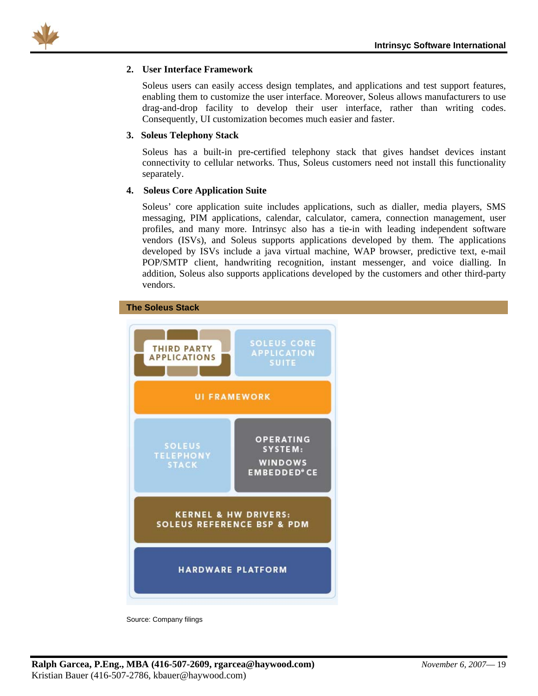

#### **2. User Interface Framework**

Soleus users can easily access design templates, and applications and test support features, enabling them to customize the user interface. Moreover, Soleus allows manufacturers to use drag-and-drop facility to develop their user interface, rather than writing codes. Consequently, UI customization becomes much easier and faster.

#### **3. Soleus Telephony Stack**

Soleus has a built-in pre-certified telephony stack that gives handset devices instant connectivity to cellular networks. Thus, Soleus customers need not install this functionality separately.

#### **4. Soleus Core Application Suite**

Soleus' core application suite includes applications, such as dialler, media players, SMS messaging, PIM applications, calendar, calculator, camera, connection management, user profiles, and many more. Intrinsyc also has a tie-in with leading independent software vendors (ISVs), and Soleus supports applications developed by them. The applications developed by ISVs include a java virtual machine, WAP browser, predictive text, e-mail POP/SMTP client, handwriting recognition, instant messenger, and voice dialling. In addition, Soleus also supports applications developed by the customers and other third-party vendors.





Source: Company filings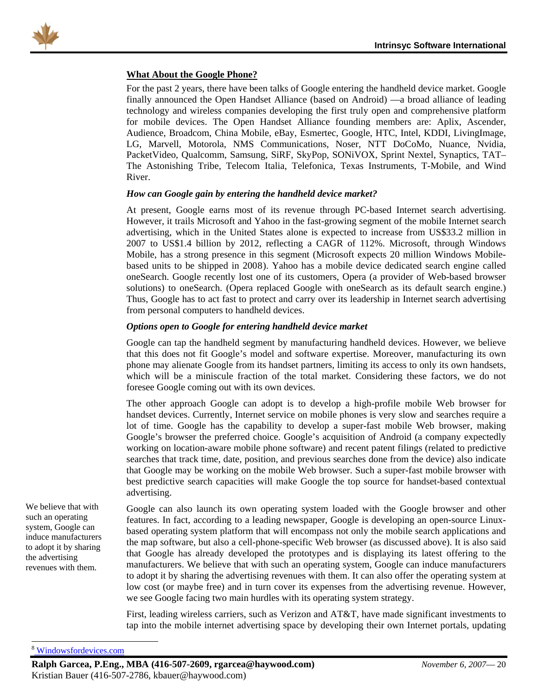<span id="page-20-0"></span>

#### **What About the Google Phone?**

For the past 2 years, there have been talks of Google entering the handheld device market. Google finally announced the Open Handset Alliance (based on Android) —a broad alliance of leading technology and wireless companies developing the first truly open and comprehensive platform for mobile devices. The Open Handset Alliance founding members are: Aplix, Ascender, Audience, Broadcom, China Mobile, eBay, Esmertec, Google, HTC, Intel, KDDI, LivingImage, LG, Marvell, Motorola, NMS Communications, Noser, NTT DoCoMo, Nuance, Nvidia, PacketVideo, Qualcomm, Samsung, SiRF, SkyPop, SONiVOX, Sprint Nextel, Synaptics, TAT– The Astonishing Tribe, Telecom Italia, Telefonica, Texas Instruments, T-Mobile, and Wind River.

#### *How can Google gain by entering the handheld device market?*

At present, Google earns most of its revenue through PC-based Internet search advertising. However, it trails Microsoft and Yahoo in the fast-growing segment of the mobile Internet search advertising, which in the United States alone is expected to increase from US\$33.2 million in 2007 to US\$1.4 billion by 2012, reflecting a CAGR of 112%. Microsoft, through Windows Mobile, has a strong presence in this segment (Microsoft expects 20 million Windows Mobilebased units to be shipped in 200[8](#page-20-1)). Yahoo has a mobile device dedicated search engine called oneSearch. Google recently lost one of its customers, Opera (a provider of Web-based browser solutions) to oneSearch. (Opera replaced Google with oneSearch as its default search engine.) Thus, Google has to act fast to protect and carry over its leadership in Internet search advertising from personal computers to handheld devices.

#### *Options open to Google for entering handheld device market*

Google can tap the handheld segment by manufacturing handheld devices. However, we believe that this does not fit Google's model and software expertise. Moreover, manufacturing its own phone may alienate Google from its handset partners, limiting its access to only its own handsets, which will be a miniscule fraction of the total market. Considering these factors, we do not foresee Google coming out with its own devices.

The other approach Google can adopt is to develop a high-profile mobile Web browser for handset devices. Currently, Internet service on mobile phones is very slow and searches require a lot of time. Google has the capability to develop a super-fast mobile Web browser, making Google's browser the preferred choice. Google's acquisition of Android (a company expectedly working on location-aware mobile phone software) and recent patent filings (related to predictive searches that track time, date, position, and previous searches done from the device) also indicate that Google may be working on the mobile Web browser. Such a super-fast mobile browser with best predictive search capacities will make Google the top source for handset-based contextual advertising.

Google can also launch its own operating system loaded with the Google browser and other features. In fact, according to a leading newspaper, Google is developing an open-source Linuxbased operating system platform that will encompass not only the mobile search applications and the map software, but also a cell-phone-specific Web browser (as discussed above). It is also said that Google has already developed the prototypes and is displaying its latest offering to the manufacturers. We believe that with such an operating system, Google can induce manufacturers to adopt it by sharing the advertising revenues with them. It can also offer the operating system at low cost (or maybe free) and in turn cover its expenses from the advertising revenue. However, we see Google facing two main hurdles with its operating system strategy.

First, leading wireless carriers, such as Verizon and AT&T, have made significant investments to tap into the mobile internet advertising space by developing their own Internet portals, updating

<span id="page-20-1"></span>8  [Windowsfordevices.com](http://www.windowsfordevices.com/news/NS8935335590.html)

We believe that with such an operating system, Google can induce manufacturers to adopt it by sharing the advertising revenues with them.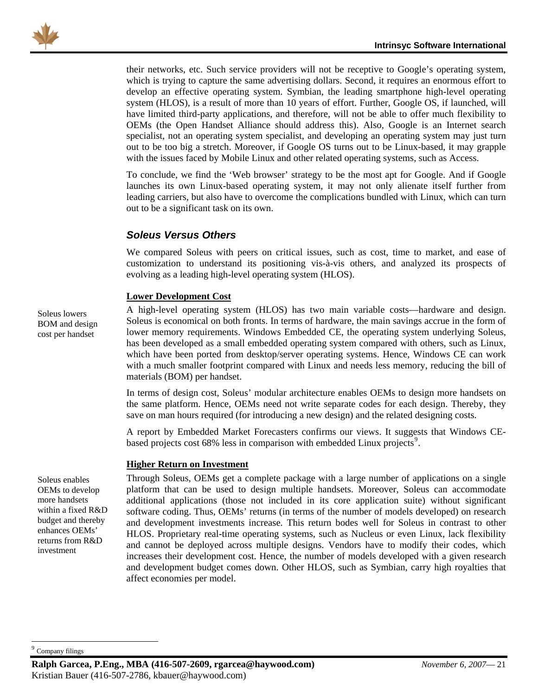<span id="page-21-0"></span>

their networks, etc. Such service providers will not be receptive to Google's operating system, which is trying to capture the same advertising dollars. Second, it requires an enormous effort to develop an effective operating system. Symbian, the leading smartphone high-level operating system (HLOS), is a result of more than 10 years of effort. Further, Google OS, if launched, will have limited third-party applications, and therefore, will not be able to offer much flexibility to OEMs (the Open Handset Alliance should address this). Also, Google is an Internet search specialist, not an operating system specialist, and developing an operating system may just turn out to be too big a stretch. Moreover, if Google OS turns out to be Linux-based, it may grapple with the issues faced by Mobile Linux and other related operating systems, such as Access.

To conclude, we find the 'Web browser' strategy to be the most apt for Google. And if Google launches its own Linux-based operating system, it may not only alienate itself further from leading carriers, but also have to overcome the complications bundled with Linux, which can turn out to be a significant task on its own.

#### *Soleus Versus Others*

We compared Soleus with peers on critical issues, such as cost, time to market, and ease of customization to understand its positioning vis-à-vis others, and analyzed its prospects of evolving as a leading high-level operating system (HLOS).

#### **Lower Development Cost**

A high-level operating system (HLOS) has two main variable costs—hardware and design. Soleus is economical on both fronts. In terms of hardware, the main savings accrue in the form of lower memory requirements. Windows Embedded CE, the operating system underlying Soleus, has been developed as a small embedded operating system compared with others, such as Linux, which have been ported from desktop/server operating systems. Hence, Windows CE can work with a much smaller footprint compared with Linux and needs less memory, reducing the bill of materials (BOM) per handset.

In terms of design cost, Soleus' modular architecture enables OEMs to design more handsets on the same platform. Hence, OEMs need not write separate codes for each design. Thereby, they save on man hours required (for introducing a new design) and the related designing costs.

A report by Embedded Market Forecasters confirms our views. It suggests that Windows CEbased projects cost  $68\%$  less in comparison with embedded Linux projects<sup>[9](#page-21-1)</sup>.

#### **Higher Return on Investment**

Through Soleus, OEMs get a complete package with a large number of applications on a single platform that can be used to design multiple handsets. Moreover, Soleus can accommodate additional applications (those not included in its core application suite) without significant software coding. Thus, OEMs' returns (in terms of the number of models developed) on research and development investments increase. This return bodes well for Soleus in contrast to other HLOS. Proprietary real-time operating systems, such as Nucleus or even Linux, lack flexibility and cannot be deployed across multiple designs. Vendors have to modify their codes, which increases their development cost. Hence, the number of models developed with a given research and development budget comes down. Other HLOS, such as Symbian, carry high royalties that affect economies per model.

Soleus lowers BOM and design cost per handset

Soleus enables OEMs to develop more handsets within a fixed R&D budget and thereby enhances OEMs' returns from R&D investment

<span id="page-21-1"></span>Company filings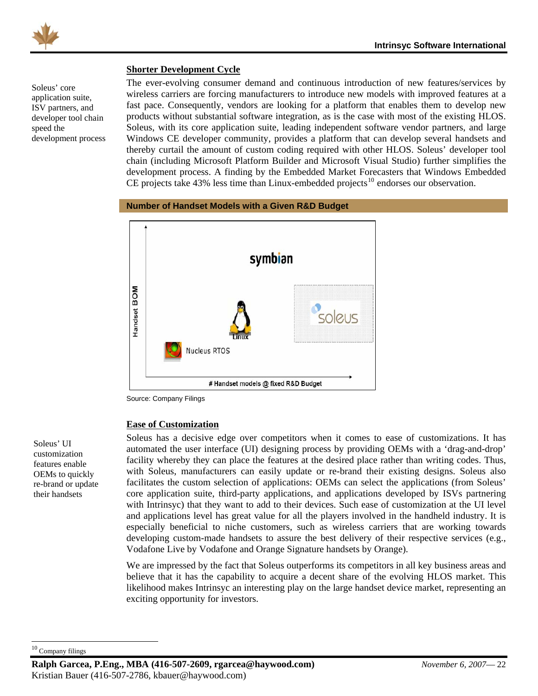<span id="page-22-0"></span>

#### **Shorter Development Cycle**

Soleus' core application suite, ISV partners, and developer tool chain speed the development process The ever-evolving consumer demand and continuous introduction of new features/services by wireless carriers are forcing manufacturers to introduce new models with improved features at a fast pace. Consequently, vendors are looking for a platform that enables them to develop new products without substantial software integration, as is the case with most of the existing HLOS. Soleus, with its core application suite, leading independent software vendor partners, and large Windows CE developer community, provides a platform that can develop several handsets and thereby curtail the amount of custom coding required with other HLOS. Soleus' developer tool chain (including Microsoft Platform Builder and Microsoft Visual Studio) further simplifies the development process. A finding by the Embedded Market Forecasters that Windows Embedded CE projects take  $43\%$  less time than Linux-embedded projects<sup>[10](#page-22-1)</sup> endorses our observation.





Source: Company Filings

#### **Ease of Customization**

Soleus has a decisive edge over competitors when it comes to ease of customizations. It has automated the user interface (UI) designing process by providing OEMs with a 'drag-and-drop' facility whereby they can place the features at the desired place rather than writing codes. Thus, with Soleus, manufacturers can easily update or re-brand their existing designs. Soleus also facilitates the custom selection of applications: OEMs can select the applications (from Soleus' core application suite, third-party applications, and applications developed by ISVs partnering with Intrinsyc) that they want to add to their devices. Such ease of customization at the UI level and applications level has great value for all the players involved in the handheld industry. It is especially beneficial to niche customers, such as wireless carriers that are working towards developing custom-made handsets to assure the best delivery of their respective services (e.g., Vodafone Live by Vodafone and Orange Signature handsets by Orange).

We are impressed by the fact that Soleus outperforms its competitors in all key business areas and believe that it has the capability to acquire a decent share of the evolving HLOS market. This likelihood makes Intrinsyc an interesting play on the large handset device market, representing an exciting opportunity for investors.

Soleus' UI customization features enable OEMs to quickly re-brand or update their handsets

<span id="page-22-1"></span><sup>10</sup> Company filings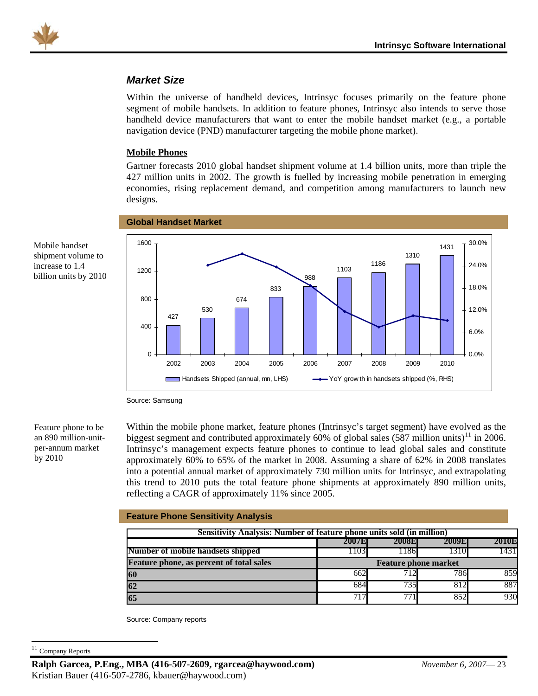<span id="page-23-0"></span>

### *Market Size*

Within the universe of handheld devices, Intrinsyc focuses primarily on the feature phone segment of mobile handsets. In addition to feature phones, Intrinsyc also intends to serve those handheld device manufacturers that want to enter the mobile handset market (e.g., a portable navigation device (PND) manufacturer targeting the mobile phone market).

#### **Mobile Phones**

Gartner forecasts 2010 global handset shipment volume at 1.4 billion units, more than triple the 427 million units in 2002. The growth is fuelled by increasing mobile penetration in emerging economies, rising replacement demand, and competition among manufacturers to launch new designs.



Mobile handset shipment volume to increase to 1.4 billion units by 2010

Source: Samsung

Feature phone to be an 890 million-unitper-annum market by 2010

Within the mobile phone market, feature phones (Intrinsyc's target segment) have evolved as the biggest segment and contributed approximately 60% of global sales (587 million units)<sup>[11](#page-23-1)</sup> in 2006. Intrinsyc's management expects feature phones to continue to lead global sales and constitute approximately 60% to 65% of the market in 2008. Assuming a share of 62% in 2008 translates into a potential annual market of approximately 730 million units for Intrinsyc, and extrapolating this trend to 2010 puts the total feature phone shipments at approximately 890 million units, reflecting a CAGR of approximately 11% since 2005.

| <b>Feature Phone Sensitivity Analysis</b>                             |                             |                  |       |       |  |  |  |  |  |  |
|-----------------------------------------------------------------------|-----------------------------|------------------|-------|-------|--|--|--|--|--|--|
| Sensitivity Analysis: Number of feature phone units sold (in million) |                             |                  |       |       |  |  |  |  |  |  |
|                                                                       | 2007E                       | 2008E            | 2009E | 2010E |  |  |  |  |  |  |
| Number of mobile handsets shipped                                     | 1103                        | 1186             | 1310  | 1431  |  |  |  |  |  |  |
| <b>Feature phone, as percent of total sales</b>                       | <b>Feature phone market</b> |                  |       |       |  |  |  |  |  |  |
| 60                                                                    | 662                         | 712              | 786   | 859   |  |  |  |  |  |  |
| 62                                                                    | 684                         | 735              | 812   | 887   |  |  |  |  |  |  |
|                                                                       | 717                         | $7\overline{71}$ | 852   | 930   |  |  |  |  |  |  |

Source: Company reports

<span id="page-23-1"></span><sup>11</sup> Company Reports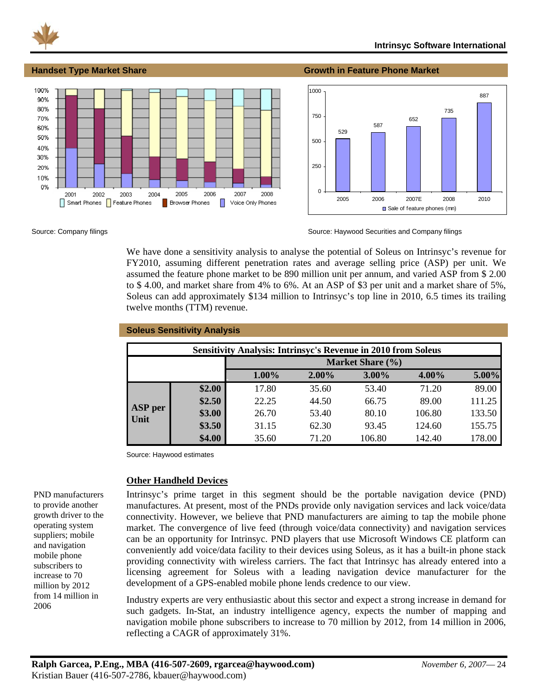<span id="page-24-0"></span>

#### **Handset Type Market Share Growth in Feature Phone Market**





Source: Company filings Source: Haywood Securities and Company filings Source: Haywood Securities and Company filings

We have done a sensitivity analysis to analyse the potential of Soleus on Intrinsyc's revenue for FY2010, assuming different penetration rates and average selling price (ASP) per unit. We assumed the feature phone market to be 890 million unit per annum, and varied ASP from \$ 2.00 to \$ 4.00, and market share from 4% to 6%. At an ASP of \$3 per unit and a market share of 5%, Soleus can add approximately \$134 million to Intrinsyc's top line in 2010, 6.5 times its trailing twelve months (TTM) revenue.

|         | <b>Soleus Sensitivity Analysis</b> |                                                                      |          |                  |          |        |
|---------|------------------------------------|----------------------------------------------------------------------|----------|------------------|----------|--------|
|         |                                    | <b>Sensitivity Analysis: Intrinsyc's Revenue in 2010 from Soleus</b> |          |                  |          |        |
|         |                                    |                                                                      |          | Market Share (%) |          |        |
|         |                                    | $1.00\%$                                                             | $2.00\%$ | 3.00%            | $4.00\%$ | 5.00%  |
|         | \$2.00                             | 17.80                                                                | 35.60    | 53.40            | 71.20    | 89.00  |
| ASP per | \$2.50                             | 22.25                                                                | 44.50    | 66.75            | 89.00    | 111.25 |
| Unit    | \$3.00                             | 26.70                                                                | 53.40    | 80.10            | 106.80   | 133.50 |
|         | \$3.50                             | 31.15                                                                | 62.30    | 93.45            | 124.60   | 155.75 |
|         | \$4.00                             | 35.60                                                                | 71.20    | 106.80           | 142.40   | 178.00 |

Source: Haywood estimates

#### **Other Handheld Devices**

Intrinsyc's prime target in this segment should be the portable navigation device (PND) manufactures. At present, most of the PNDs provide only navigation services and lack voice/data connectivity. However, we believe that PND manufacturers are aiming to tap the mobile phone market. The convergence of live feed (through voice/data connectivity) and navigation services can be an opportunity for Intrinsyc. PND players that use Microsoft Windows CE platform can conveniently add voice/data facility to their devices using Soleus, as it has a built-in phone stack providing connectivity with wireless carriers. The fact that Intrinsyc has already entered into a licensing agreement for Soleus with a leading navigation device manufacturer for the development of a GPS-enabled mobile phone lends credence to our view.

Industry experts are very enthusiastic about this sector and expect a strong increase in demand for such gadgets. In-Stat, an industry intelligence agency, expects the number of mapping and navigation mobile phone subscribers to increase to 70 million by 2012, from 14 million in 2006, reflecting a CAGR of approximately 31%.

PND manufacturers to provide another growth driver to the operating system suppliers; mobile and navigation mobile phone subscribers to increase to 70 million by 2012 from 14 million in 2006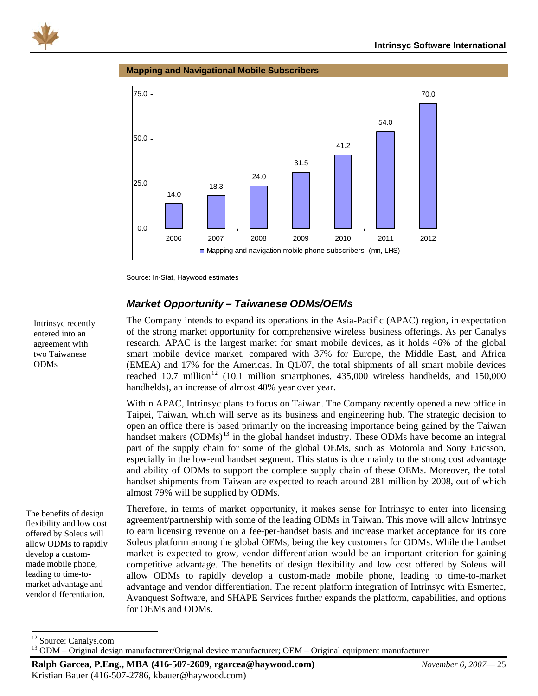<span id="page-25-0"></span>

#### **Mapping and Navigational Mobile Subscribers**



Source: In-Stat, Haywood estimates

### *Market Opportunity – Taiwanese ODMS/OEMS*

The Company intends to expand its operations in the Asia-Pacific (APAC) region, in expectation of the strong market opportunity for comprehensive wireless business offerings. As per Canalys research, APAC is the largest market for smart mobile devices, as it holds 46% of the global smart mobile device market, compared with 37% for Europe, the Middle East, and Africa (EMEA) and 17% for the Americas. In Q1/07, the total shipments of all smart mobile devices reached  $10.7$  million<sup>[12](#page-25-1)</sup> (10.1 million smartphones,  $435,000$  wireless handhelds, and  $150,000$ handhelds), an increase of almost 40% year over year.

Within APAC, Intrinsyc plans to focus on Taiwan. The Company recently opened a new office in Taipei, Taiwan, which will serve as its business and engineering hub. The strategic decision to open an office there is based primarily on the increasing importance being gained by the Taiwan handset makers (ODMs)<sup>[13](#page-25-2)</sup> in the global handset industry. These ODMs have become an integral part of the supply chain for some of the global OEMs, such as Motorola and Sony Ericsson, especially in the low-end handset segment. This status is due mainly to the strong cost advantage and ability of ODMs to support the complete supply chain of these OEMs. Moreover, the total handset shipments from Taiwan are expected to reach around 281 million by 2008, out of which almost 79% will be supplied by ODMs.

Therefore, in terms of market opportunity, it makes sense for Intrinsyc to enter into licensing agreement/partnership with some of the leading ODMs in Taiwan. This move will allow Intrinsyc to earn licensing revenue on a fee-per-handset basis and increase market acceptance for its core Soleus platform among the global OEMs, being the key customers for ODMs. While the handset market is expected to grow, vendor differentiation would be an important criterion for gaining competitive advantage. The benefits of design flexibility and low cost offered by Soleus will allow ODMs to rapidly develop a custom-made mobile phone, leading to time-to-market advantage and vendor differentiation. The recent platform integration of Intrinsyc with Esmertec, Avanquest Software, and SHAPE Services further expands the platform, capabilities, and options for OEMs and ODMs.

Intrinsyc recently entered into an agreement with two Taiwanese ODMs

The benefits of design flexibility and low cost offered by Soleus will allow ODMs to rapidly develop a custommade mobile phone, leading to time-tomarket advantage and vendor differentiation.

**Ralph Garcea, P.Eng., MBA (416-507-2609, rgarcea@haywood.com)** *November 6, 2007*— 25 Kristian Bauer (416-507-2786, kbauer@haywood.com)

<span id="page-25-1"></span><sup>&</sup>lt;sup>12</sup> Source: Canalys.com

<span id="page-25-2"></span> $13$  ODM – Original design manufacturer/Original device manufacturer; OEM – Original equipment manufacturer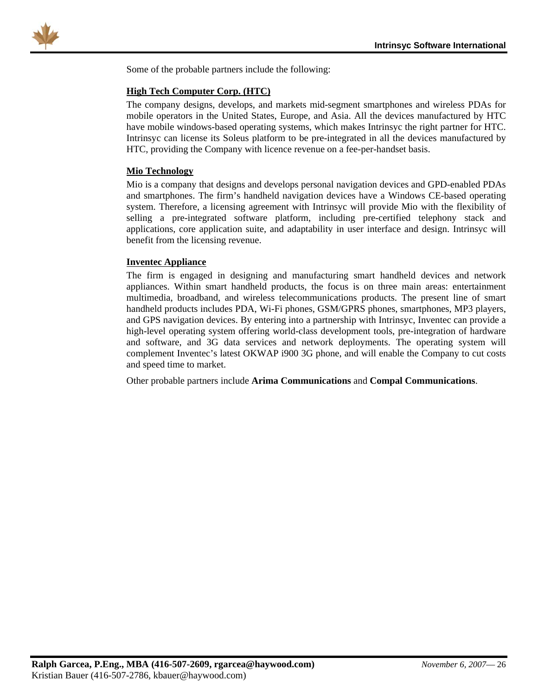<span id="page-26-0"></span>

Some of the probable partners include the following:

#### **High Tech Computer Corp. (HTC)**

The company designs, develops, and markets mid-segment smartphones and wireless PDAs for mobile operators in the United States, Europe, and Asia. All the devices manufactured by HTC have mobile windows-based operating systems, which makes Intrinsyc the right partner for HTC. Intrinsyc can license its Soleus platform to be pre-integrated in all the devices manufactured by HTC, providing the Company with licence revenue on a fee-per-handset basis.

#### **Mio Technology**

Mio is a company that designs and develops personal navigation devices and GPD-enabled PDAs and smartphones. The firm's handheld navigation devices have a Windows CE-based operating system. Therefore, a licensing agreement with Intrinsyc will provide Mio with the flexibility of selling a pre-integrated software platform, including pre-certified telephony stack and applications, core application suite, and adaptability in user interface and design. Intrinsyc will benefit from the licensing revenue.

#### **Inventec Appliance**

The firm is engaged in designing and manufacturing smart handheld devices and network appliances. Within smart handheld products, the focus is on three main areas: entertainment multimedia, broadband, and wireless telecommunications products. The present line of smart handheld products includes PDA, Wi-Fi phones, GSM/GPRS phones, smartphones, MP3 players, and GPS navigation devices. By entering into a partnership with Intrinsyc, Inventec can provide a high-level operating system offering world-class development tools, pre-integration of hardware and software, and 3G data services and network deployments. The operating system will complement Inventec's latest OKWAP i900 3G phone, and will enable the Company to cut costs and speed time to market.

Other probable partners include **Arima Communications** and **Compal Communications**.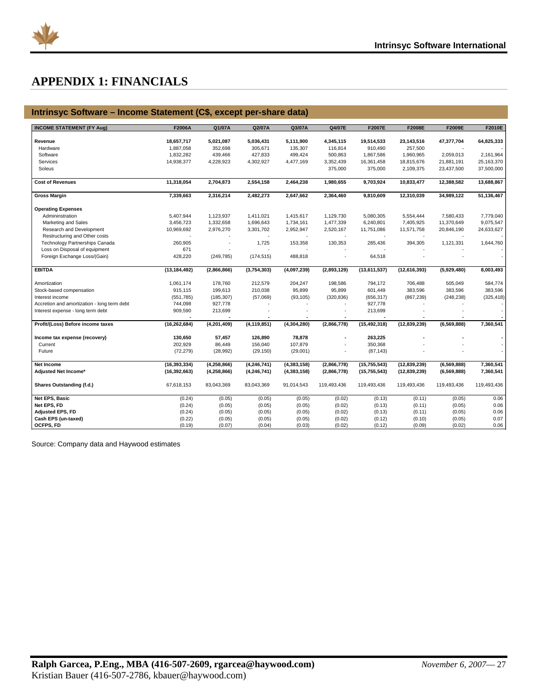<span id="page-27-0"></span>

## **APPENDIX 1: FINANCIALS**

#### **Intrinsyc Software – Income Statement (C\$, except per-share data)**

| <b>INCOME STATEMENT (FY Aug)</b>            | F2006A                  | Q1/07A               | Q2/07A               | Q3/07A               | Q4/07E               | F2007E                | F2008E                | F2009E        | F2010E       |
|---------------------------------------------|-------------------------|----------------------|----------------------|----------------------|----------------------|-----------------------|-----------------------|---------------|--------------|
|                                             |                         |                      |                      |                      |                      |                       |                       |               |              |
| Revenue<br>Hardware                         | 18,657,717<br>1,887,058 | 5,021,087<br>352,698 | 5,036,431<br>305,671 | 5,111,900<br>135,307 | 4,345,115<br>116,814 | 19,514,533<br>910,490 | 23,143,516<br>257,500 | 47,377,704    | 64,825,333   |
|                                             |                         |                      |                      |                      |                      |                       |                       |               |              |
| Software                                    | 1,832,282               | 439,466              | 427,833              | 499,424              | 500,863              | 1,867,586             | 1,960,965             | 2,059,013     | 2,161,964    |
| Services                                    | 14,938,377              | 4,228,923            | 4,302,927            | 4,477,169            | 3,352,439            | 16,361,458            | 18,815,676            | 21,881,191    | 25, 163, 370 |
| Soleus                                      |                         |                      |                      |                      | 375,000              | 375,000               | 2,109,375             | 23,437,500    | 37,500,000   |
| <b>Cost of Revenues</b>                     | 11,318,054              | 2,704,873            | 2,554,158            | 2,464,238            | 1,980,655            | 9,703,924             | 10,833,477            | 12,388,582    | 13,688,867   |
| <b>Gross Margin</b>                         | 7,339,663               | 2,316,214            | 2,482,273            | 2,647,662            | 2,364,460            | 9,810,609             | 12,310,039            | 34,989,122    | 51,136,467   |
| <b>Operating Expenses</b>                   |                         |                      |                      |                      |                      |                       |                       |               |              |
| Admininstration                             | 5,407,944               | 1,123,937            | 1,411,021            | 1,415,617            | 1,129,730            | 5,080,305             | 5,554,444             | 7,580,433     | 7,779,040    |
| Marketing and Sales                         | 3,456,723               | 1,332,658            | 1,696,643            | 1,734,161            | 1,477,339            | 6,240,801             | 7,405,925             | 11,370,649    | 9,075,547    |
| Research and Development                    | 10,969,692              | 2,976,270            | 3,301,702            | 2,952,947            | 2,520,167            | 11,751,086            | 11,571,758            | 20,846,190    | 24,633,627   |
| Restructuring and Other costs               |                         |                      |                      |                      |                      |                       |                       |               |              |
| <b>Technology Partnerships Canada</b>       | 260,905                 | ٠                    | 1,725                | 153,358              | 130,353              | 285,436               | 394,305               | 1,121,331     | 1,644,760    |
| Loss on Disposal of equipment               | 671                     |                      |                      |                      |                      |                       |                       |               |              |
| Foreign Exchange Loss/(Gain)                | 428,220                 | (249, 785)           | (174, 515)           | 488,818              | ä,                   | 64,518                |                       |               |              |
| <b>EBITDA</b>                               | (13, 184, 492)          | (2,866,866)          | (3,754,303)          | (4,097,239)          | (2,893,129)          | (13,611,537)          | (12,616,393)          | (5,929,480)   | 8,003,493    |
| Amortization                                | 1,061,174               | 178,760              | 212,579              | 204,247              | 198,586              | 794,172               | 706,488               | 505,049       | 584,774      |
| Stock-based compensation                    | 915,115                 | 199,613              | 210,038              | 95,899               | 95,899               | 601,449               | 383,596               | 383,596       | 383,596      |
| Interest income                             | (551, 785)              | (185, 307)           | (57,069)             | (93, 105)            | (320, 836)           | (656, 317)            | (867, 239)            | (248, 238)    | (325, 418)   |
| Accretion and amortization - long term debt | 744,098                 | 927,778              |                      |                      |                      | 927,778               |                       |               |              |
| Interest expense - long term debt           | 909,590                 | 213,699              |                      |                      |                      | 213,699               |                       |               |              |
|                                             |                         |                      |                      |                      |                      |                       |                       |               |              |
| Profit/(Loss) Before income taxes           | (16, 262, 684)          | (4,201,409)          | (4, 119, 851)        | (4, 304, 280)        | (2,866,778)          | (15, 492, 318)        | (12, 839, 239)        | (6, 569, 888) | 7,360,541    |
| Income tax expense (recovery)               | 130,650                 | 57,457               | 126,890              | 78,878               | ÷                    | 263,225               |                       |               |              |
| Current                                     | 202,929                 | 86,449               | 156,040              | 107,879              |                      | 350,368               |                       |               |              |
| Future                                      | (72, 279)               | (28, 992)            | (29, 150)            | (29,001)             | ä,                   | (87, 143)             |                       |               |              |
| Net Income                                  | (16, 393, 334)          | (4, 258, 866)        | (4, 246, 741)        | (4, 383, 158)        | (2,866,778)          | (15, 755, 543)        | (12, 839, 239)        | (6, 569, 888) | 7,360,541    |
| Adjusted Net Income*                        | (16, 392, 663)          | (4, 258, 866)        | (4, 246, 741)        | (4, 383, 158)        | (2,866,778)          | (15, 755, 543)        | (12, 839, 239)        | (6, 569, 888) | 7,360,541    |
| Shares Outstanding (f.d.)                   | 67,618,153              | 83,043,369           | 83,043,369           | 91,014,543           | 119,493,436          | 119,493,436           | 119,493,436           | 119,493,436   | 119,493,436  |
| Net EPS, Basic                              | (0.24)                  | (0.05)               | (0.05)               | (0.05)               | (0.02)               | (0.13)                | (0.11)                | (0.05)        | 0.06         |
| Net EPS, FD                                 | (0.24)                  | (0.05)               | (0.05)               | (0.05)               | (0.02)               | (0.13)                | (0.11)                | (0.05)        | 0.06         |
| <b>Adjusted EPS, FD</b>                     | (0.24)                  | (0.05)               | (0.05)               | (0.05)               | (0.02)               | (0.13)                | (0.11)                | (0.05)        | 0.06         |
| Cash EPS (un-taxed)                         | (0.22)                  | (0.05)               | (0.05)               | (0.05)               | (0.02)               | (0.12)                | (0.10)                | (0.05)        | 0.07         |
| OCFPS, FD                                   | (0.19)                  | (0.07)               | (0.04)               | (0.03)               | (0.02)               | (0.12)                | (0.09)                | (0.02)        | 0.06         |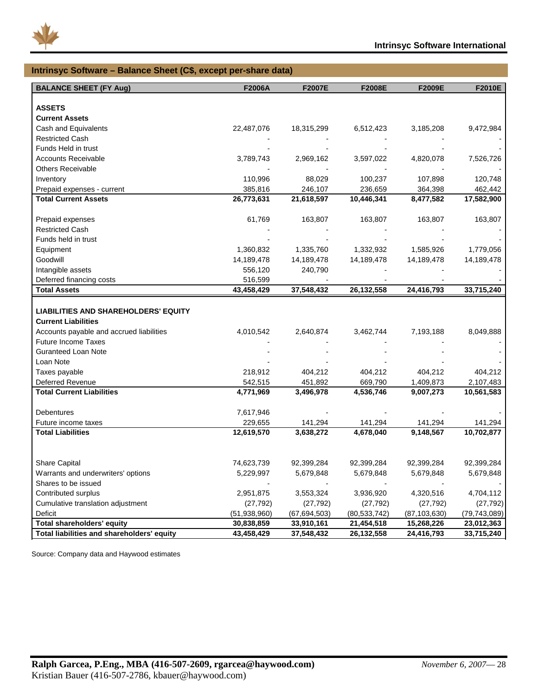

#### **Intrinsyc Software – Balance Sheet (C\$, except per-share data) BALANCE SHEET (FY Aug) F2006A F2007E F2008E F2009E F2010E ASSETS Current Assets** Cash and Equivalents 22,487,076 18,315,299 6,512,423 3,185,208 9,472,984 Restricted Cash Funds Held in trust Accounts Receivable 2,869,789,743 2,969,162 3,597,022 4,820,078 7,526,726 Others Receivable Inventory 110,996 88,029 100,237 107,898 120,748 Prepaid expenses - current 385,816 246,107 236,659 364,398 462,442 **Total Current Assets 26,773,631 21,618,597 10,446,341 8,477,582 17,582,900** Prepaid expenses 61,769 163,807 163,807 163,807 163,807 Restricted Cash Funds held in trust Equipment 1,360,832 1,335,760 1,332,932 1,585,926 1,779,056 Goodwill 14,189,478 14,189,478 14,189,478 14,189,478 14,189,478 Intangible assets 656,120 240,790 Deferred financing costs 516,599 **Total Assets 43,458,429 37,548,432 26,132,558 24,416,793 33,715,240 LIABILITIES AND SHAREHOLDERS' EQUITY Current Liabilities** Accounts payable and accrued liabilities  $4,010,542$   $2,640,874$   $3,462,744$   $7,193,188$   $8,049,888$ Future Income Taxes Guranteed Loan Note Loan Note - - - - - Taxes payable 218,912 404,212 404,212 404,212 404,212 Deferred Revenue 542,515 451,892 669,790 1,409,873 2,107,483 **Total Current Liabilities 4,771,969 3,496,978 4,536,746 9,007,273 10,561,583** Debentures 7,617,946 - - - - Future income taxes 229,655 141,294 141,294 141,294 141,294 **Total Liabilities 12,619,570 3,638,272 4,678,040 9,148,567 10,702,877** Share Capital 74,623,739 92,399,284 92,399,284 92,399,284 92,399,284 Warrants and underwriters' options 5,229,997 5,679,848 5,679,848 5,679,848 5,679,848 Shares to be issued Contributed surplus 2,951,875 3,553,324 3,936,920 4,320,516 4,704,112 Cumulative translation adjustment (27,792) (27,792) (27,792) (27,792) (27,792) Deficit (51,938,960) (67,694,503) (80,533,742) (87,103,630) (79,743,089) **Total shareholders' equity 30,838,859 33,910,161 21,454,518 15,268,226 23,012,363 Total liabilities and shareholders' equity 43,458,429 37,548,432 26,132,558 24,416,793 33,715,240**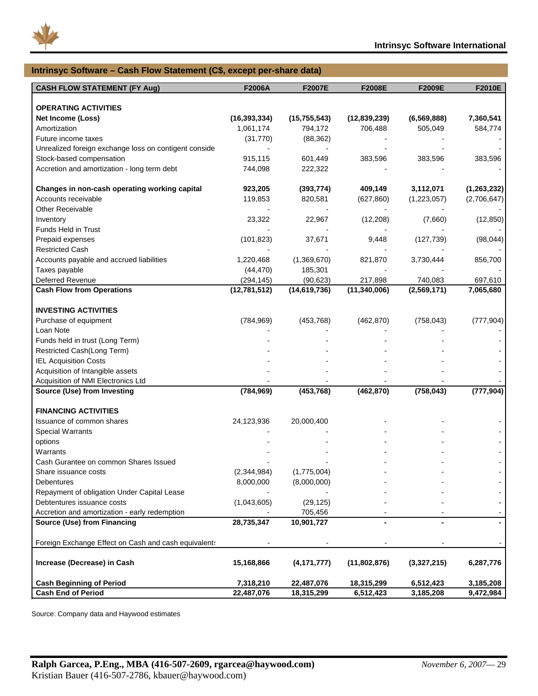

| Intrinsyc Software - Cash Flow Statement (C\$, except per-share data) |                |                |                |               |               |  |  |  |  |
|-----------------------------------------------------------------------|----------------|----------------|----------------|---------------|---------------|--|--|--|--|
| <b>CASH FLOW STATEMENT (FY Aug)</b>                                   | F2006A         | F2007E         | F2008E         | F2009E        | F2010E        |  |  |  |  |
|                                                                       |                |                |                |               |               |  |  |  |  |
| <b>OPERATING ACTIVITIES</b>                                           |                |                |                |               |               |  |  |  |  |
| <b>Net Income (Loss)</b>                                              | (16, 393, 334) | (15, 755, 543) | (12,839,239)   | (6, 569, 888) | 7,360,541     |  |  |  |  |
| Amortization                                                          | 1,061,174      | 794,172        | 706,488        | 505,049       | 584,774       |  |  |  |  |
| Future income taxes                                                   | (31, 770)      | (88, 362)      |                |               |               |  |  |  |  |
| Unrealized foreign exchange loss on contigent conside                 |                |                |                |               |               |  |  |  |  |
| Stock-based compensation                                              | 915,115        | 601,449        | 383,596        | 383,596       | 383,596       |  |  |  |  |
| Accretion and amortization - long term debt                           | 744,098        | 222,322        |                |               |               |  |  |  |  |
| Changes in non-cash operating working capital                         | 923,205        | (393, 774)     | 409,149        | 3,112,071     | (1, 263, 232) |  |  |  |  |
| Accounts receivable                                                   | 119,853        | 820,581        | (627, 860)     | (1,223,057)   | (2,706,647)   |  |  |  |  |
| <b>Other Receivable</b>                                               |                |                |                |               |               |  |  |  |  |
| Inventory                                                             | 23,322         | 22,967         | (12, 208)      | (7,660)       | (12, 850)     |  |  |  |  |
| Funds Held in Trust                                                   |                |                |                |               |               |  |  |  |  |
| Prepaid expenses                                                      | (101, 823)     | 37,671         | 9,448          | (127, 739)    | (98, 044)     |  |  |  |  |
| <b>Restricted Cash</b>                                                |                |                |                |               |               |  |  |  |  |
| Accounts payable and accrued liabilities                              | 1,220,468      | (1,369,670)    | 821,870        | 3,730,444     | 856,700       |  |  |  |  |
| Taxes payable                                                         | (44, 470)      | 185,301        |                |               |               |  |  |  |  |
| Deferred Revenue                                                      | (294, 145)     | (90, 623)      | 217,898        | 740,083       | 697,610       |  |  |  |  |
| <b>Cash Flow from Operations</b>                                      | (12,781,512)   | (14, 619, 736) | (11, 340, 006) | (2,569,171)   | 7,065,680     |  |  |  |  |
| <b>INVESTING ACTIVITIES</b>                                           |                |                |                |               |               |  |  |  |  |
| Purchase of equipment                                                 | (784, 969)     | (453, 768)     | (462, 870)     | (758, 043)    | (777, 904)    |  |  |  |  |
| Loan Note                                                             |                |                |                |               |               |  |  |  |  |
| Funds held in trust (Long Term)                                       |                |                |                |               |               |  |  |  |  |
| Restricted Cash(Long Term)                                            |                |                |                |               |               |  |  |  |  |
| <b>IEL Acquisition Costs</b>                                          |                |                |                |               |               |  |  |  |  |
| Acquisition of Intangible assets                                      |                |                |                |               |               |  |  |  |  |
| Acquisition of NMI Electronics Ltd                                    |                |                |                |               |               |  |  |  |  |
| Source (Use) from Investing                                           | (784, 969)     | (453, 768)     | (462, 870)     | (758, 043)    | (777, 904)    |  |  |  |  |
|                                                                       |                |                |                |               |               |  |  |  |  |
| <b>FINANCING ACTIVITIES</b>                                           |                |                |                |               |               |  |  |  |  |
| Issuance of common shares                                             | 24,123,936     | 20,000,400     |                |               |               |  |  |  |  |
| <b>Special Warrants</b>                                               |                |                |                |               |               |  |  |  |  |
| options                                                               |                |                |                |               |               |  |  |  |  |
| Warrants                                                              |                |                |                |               |               |  |  |  |  |
| Cash Gurantee on common Shares Issued                                 |                |                |                |               |               |  |  |  |  |
| Share issuance costs                                                  | (2,344,984)    | (1,775,004)    |                |               |               |  |  |  |  |
| Debentures                                                            | 8,000,000      | (8,000,000)    |                |               |               |  |  |  |  |
| Repayment of obligation Under Capital Lease                           |                |                |                |               |               |  |  |  |  |
| Debtentures issuance costs                                            | (1,043,605)    | (29, 125)      |                |               |               |  |  |  |  |
| Accretion and amortization - early redemption                         |                | 705,456        |                |               |               |  |  |  |  |
| Source (Use) from Financing                                           | 28,735,347     | 10,901,727     |                |               |               |  |  |  |  |
| Foreign Exchange Effect on Cash and cash equivalents                  |                |                |                |               |               |  |  |  |  |
| Increase (Decrease) in Cash                                           | 15,168,866     | (4, 171, 777)  | (11,802,876)   | (3,327,215)   | 6,287,776     |  |  |  |  |
| <b>Cash Beginning of Period</b>                                       | 7,318,210      | 22,487,076     | 18,315,299     | 6,512,423     | 3,185,208     |  |  |  |  |
| <b>Cash End of Period</b>                                             | 22,487,076     | 18,315,299     | 6,512,423      | 3,185,208     | 9,472,984     |  |  |  |  |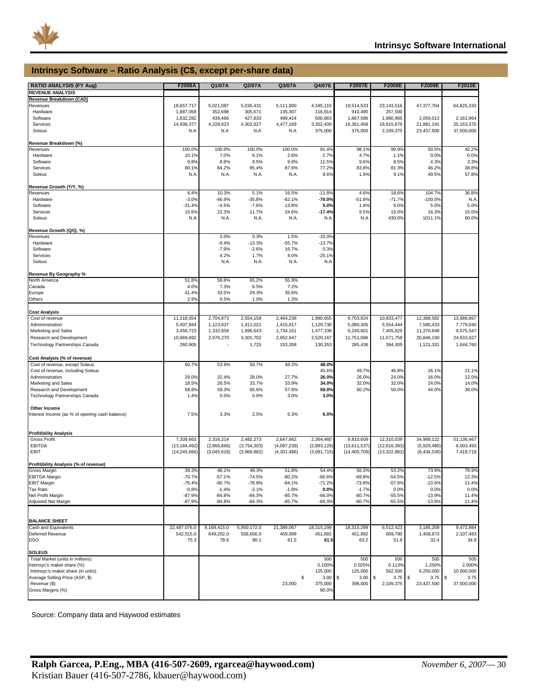

#### **Intrinsyc Software – Ratio Analysis (C\$, except per-share data)**

| <b>RATIO ANALYSIS (FY Aug)</b>                 | F2006A         | Q1/07A      | Q2/07A      | Q3/07A      | Q4/07E      | <b>F2007E</b>         | F2008E          | F2009E      | F2010E       |
|------------------------------------------------|----------------|-------------|-------------|-------------|-------------|-----------------------|-----------------|-------------|--------------|
| <b>REVENUE ANALYSIS</b>                        |                |             |             |             |             |                       |                 |             |              |
|                                                |                |             |             |             |             |                       |                 |             |              |
| Revenue Breakdown (CAD)                        |                |             |             |             |             |                       |                 |             |              |
| Revenues                                       | 18,657,717     | 5,021,087   | 5,036,431   | 5,111,900   | 4,345,115   | 19,514,533            | 23,143,516      | 47,377,704  | 64,825,333   |
| Hardware                                       | 1,887,058      | 352,698     | 305,671     | 135,307     | 116,814     | 910,490               | 257,500         |             |              |
| Software                                       | 1,832,282      | 439,466     | 427,833     | 499,424     | 500,863     | 1,867,586             | 1,960,965       | 2,059,013   | 2,161,964    |
| Services                                       | 14,938,377     | 4,228,923   | 4,302,927   | 4,477,169   | 3,352,439   | 16,361,458            | 18,815,676      | 21,881,191  | 25, 163, 370 |
| Soleus                                         | N.A            | N.A         | N.A         | N.A         | 375,000     | 375,000               | 2,109,375       | 23,437,500  | 37,500,000   |
|                                                |                |             |             |             |             |                       |                 |             |              |
| Revenue Breakdown (%)                          |                |             |             |             |             |                       |                 |             |              |
| Revenues                                       | 100.0%         | 100.0%      | 100.0%      | 100.0%      | 91.4%       | 98.1%                 | 90.9%           | 50.5%       | 42.2%        |
| Hardware                                       | 10.1%          | 7.0%        | 6.1%        | 2.6%        | 2.7%        | 4.7%                  | 1.1%            | 0.0%        | 0.0%         |
| Software                                       | 9.8%           | 8.8%        | 8.5%        | 9.8%        | 11.5%       | 9.6%                  | 8.5%            | 4.3%        | 3.3%         |
| Services                                       | 80.1%          | 84.2%       | 85.4%       | 87.6%       | 77.2%       | 83.8%                 | 81.3%           | 46.2%       | 38.8%        |
| Soleus                                         | N.A            | N.A.        | N.A.        | N.A.        | 8.6%        | 1.9%                  | 9.1%            | 49.5%       | 57.8%        |
|                                                |                |             |             |             |             |                       |                 |             |              |
| Revenue Growth (Y/Y, %)                        |                |             |             |             |             |                       |                 |             |              |
| Revenues                                       | 6.4%           | 10.3%       | 5.1%        | 16.5%       | $-11.8%$    | 4.6%                  | 18.6%           | 104.7%      | 36.8%        |
| Hardware                                       | $-3.0%$        | $-46.9%$    | $-35.8%$    | $-62.1%$    | $-70.0%$    | $-51.8%$              | $-71.7%$        | $-100.0%$   | N.A          |
| Software                                       | $-31.4%$       | $-4.5%$     | $-7.6%$     | 13.8%       | 5.0%        | 1.9%                  | 5.0%            | 5.0%        | 5.0%         |
| Services                                       | 15.6%          | 23.3%       | 11.7%       | 24.6%       | $-17.4%$    | 9.5%                  | 15.0%           | 16.3%       | 15.0%        |
| Soleus                                         | N.A            | N.A.        | N.A.        | N.A.        | N.A         | N.A                   | 430.0%          | 1011.1%     | 60.0%        |
|                                                |                |             |             |             |             |                       |                 |             |              |
| Revenue Growth (Q/Q, %)                        |                |             |             |             |             |                       |                 |             |              |
| Revenues                                       |                | 2.0%        | 0.3%        | 1.5%        | $-15.0%$    |                       |                 |             |              |
| Hardware                                       |                | $-9.4%$     | $-13.3%$    | $-55.7%$    | $-13.7%$    |                       |                 |             |              |
| Software                                       |                | $-7.9%$     | $-2.6%$     | 16.7%       | 0.3%        |                       |                 |             |              |
| Services                                       |                | 4.2%        | 1.7%        | 4.0%        | $-25.1%$    |                       |                 |             |              |
| Soleus                                         |                | N.A.        | N.A.        | N.A.        | N.A         |                       |                 |             |              |
|                                                |                |             |             |             |             |                       |                 |             |              |
|                                                |                |             |             |             |             |                       |                 |             |              |
| Revenue By Geography %<br>North America        | 51.8%          | 58.8%       | 65.2%       | 55.9%       |             |                       |                 |             |              |
|                                                |                |             |             |             |             |                       |                 |             |              |
| Canada                                         | 4.0%           | 7.3%        | 6.5%        | 7.2%        |             |                       |                 |             |              |
| Europe                                         | 41.4%          | 33.5%       | 29.3%       | 35.6%       |             |                       |                 |             |              |
| Others                                         | 2.9%           | 0.5%        | 1.0%        | 1.3%        |             |                       |                 |             |              |
|                                                |                |             |             |             |             |                       |                 |             |              |
| <b>Cost Analysis</b>                           |                |             |             |             |             |                       |                 |             |              |
| Cost of revenue                                | 11,318,054     | 2,704,873   | 2,554,158   | 2,464,238   | 1,980,655   | 9,703,924             | 10,833,477      | 12,388,582  | 13,688,867   |
| Admininstration                                | 5,407,944      | 1,123,937   | 1,411,021   | 1,415,617   | 1,129,730   | 5,080,305             | 5,554,444       | 7,580,433   | 7,779,040    |
| Marketing and Sales                            | 3,456,723      | 1,332,658   | 1,696,643   | 1,734,161   | 1,477,339   | 6,240,801             | 7,405,925       | 11,370,649  | 9,075,547    |
| Research and Development                       | 10,969,692     | 2,976,270   | 3,301,702   | 2,952,947   | 2,520,167   | 11,751,086            | 11,571,758      | 20,846,190  | 24,633,627   |
| Technology Partnerships Canada                 | 260,905        |             | 1,725       | 153,358     | 130,353     | 285,436               | 394,305         | 1,121,331   | 1,644,760    |
|                                                |                |             |             |             |             |                       |                 |             |              |
| Cost Analysis (% of revenue)                   |                |             |             |             |             |                       |                 |             |              |
|                                                | 60.7%          | 53.9%       | 50.7%       | 48.2%       | 48.0%       |                       |                 |             |              |
| Cost of revenue, except Soleus                 |                |             |             |             |             |                       |                 |             |              |
| Cost of revenue, including Soleus              |                |             |             |             | 45.6%       | 49.7%                 | 46.8%           | 26.1%       | 21.1%        |
| Admininstration                                | 29.0%          | 22.4%       | 28.0%       | 27.7%       | 26.0%       | 26.0%                 | 24.0%           | 16.0%       | 12.0%        |
| Marketing and Sales                            | 18.5%          | 26.5%       | 33.7%       | 33.9%       | 34.0%       | 32.0%                 | 32.0%           | 24.0%       | 14.0%        |
| Research and Development                       | 58.8%          | 59.3%       | 65.6%       | 57.8%       | 58.0%       | 60.2%                 | 50.0%           | 44.0%       | 38.0%        |
| Technology Partnerships Canada                 | 1.4%           | 0.0%        | 0.0%        | 3.0%        | 3.0%        |                       |                 |             |              |
|                                                |                |             |             |             |             |                       |                 |             |              |
| Other Income                                   |                |             |             |             |             |                       |                 |             |              |
| Interest Income (as % of opening cash balance) | 7.5%           | 3.3%        | 2.5%        | 6.3%        | 6.0%        |                       |                 |             |              |
|                                                |                |             |             |             |             |                       |                 |             |              |
|                                                |                |             |             |             |             |                       |                 |             |              |
| <b>Profitibility Analysis</b>                  |                |             |             |             |             |                       |                 |             |              |
| <b>Gross Profit</b>                            | 7,339,663      | 2,316,214   | 2,482,273   | 2,647,662   | 2,364,460   | 9,810,609             | 12,310,039      | 34,989,122  | 51,136,467   |
| EBITDA                                         | (13, 184, 492) | (2,866,866) | (3,754,303) | (4,097,239) | (2,893,129) | (13,611,537)          | (12,616,393)    | (5,929,480) | 8,003,493    |
| EBIT                                           | (14, 245, 666) | (3,045,626) | (3,966,882) | (4,301,486) | (3,091,715) | (14, 405, 709)        | (13, 322, 882)  | (6,434,530) | 7,418,719    |
|                                                |                |             |             |             |             |                       |                 |             |              |
| Profitibility Analysis (% of revenue)          |                |             |             |             |             |                       |                 |             |              |
| <b>Gross Margin</b>                            | 39.3%          | 46.1%       | 49.3%       | 51.8%       | 54.4%       | 50.3%                 | 53.2%           | 73.9%       | 78.9%        |
| <b>EBITDA Margin</b>                           | $-70.7%$       | $-57.1%$    | $-74.5%$    | $-80.2%$    | $-66.6%$    | $-69.8%$              | $-54.5%$        | $-12.5%$    | 12.3%        |
| <b>EBIT Margin</b>                             | $-76.4%$       | $-60.7%$    | $-78.8%$    | $-84.1%$    | $-71.2%$    | $-73.8%$              | $-57.6%$        | $-13.6%$    | 11.4%        |
| <b>Tax Rate</b>                                | $-0.8%$        | $-1.4%$     | $-3.1%$     | $-1.8%$     | 0.0%        | $-1.7%$               | 0.0%            | 0.0%        | 0.0%         |
| Net Profit Margin                              | $-87.9%$       | $-84.8%$    | $-84.3%$    | $-85.7%$    | $-66.0%$    | $-80.7%$              | $-55.5%$        | $-13.9%$    | 11.4%        |
| Adjusted Net Margin                            | $-87.9%$       | $-84.8%$    | $-84.3%$    | $-85.7%$    | $-66.0%$    | $-80.7%$              | $-55.5%$        | $-13.9%$    | 11.4%        |
|                                                |                |             |             |             |             |                       |                 |             |              |
|                                                |                |             |             |             |             |                       |                 |             |              |
| <b>BALANCE SHEET</b>                           |                |             |             |             |             |                       |                 |             |              |
| Cash and Equivalents                           | 22,487,076.0   | 9,169,415.0 | 5,950,172.0 | 21,389,067  | 18,315,299  | 18,315,299            | 6,512,423       | 3,185,208   | 9,472,984    |
| <b>Deferred Revenue</b>                        | 542,515.0      | 649,252.0   | 558,656.0   | 459,999     | 451,892     | 451,892               | 669,790         | 1,409,873   | 2,107,483    |
| DSO                                            | 75.3           | 78.6        | 80.1        | 61.5        | 61.5        | 63.2                  | 51.8            | 32.4        | 34.8         |
|                                                |                |             |             |             |             |                       |                 |             |              |
| <b>SOLEUS</b>                                  |                |             |             |             |             |                       |                 |             |              |
| Total Market (units in millions)               |                |             |             |             | 500         | 500                   | 500             | 500         | 500          |
| Intrinsyc's maket share (%)                    |                |             |             |             | 0.100%      | 0.025%                | 0.113%          | 1.250%      | 2.000%       |
|                                                |                |             |             |             |             |                       |                 |             |              |
| Intrinsyc's maket share (in units)             |                |             |             |             | 125,000     | 125,000               | 562,500         | 6,250,000   | 10,000,000   |
| Average Selling Price (ASP, \$)                |                |             |             |             | \$<br>3.00  | $\frac{3}{2}$<br>3.00 | $3.75$ \$<br>\$ | 3.75        | \$<br>3.75   |
| Revenue (\$)                                   |                |             |             | 23,000      | 375,000     | 398,000               | 2,109,375       | 23,437,500  | 37,500,000   |
| Gross Margins (%)                              |                |             |             |             | 80.0%       |                       |                 |             |              |
|                                                |                |             |             |             |             |                       |                 |             |              |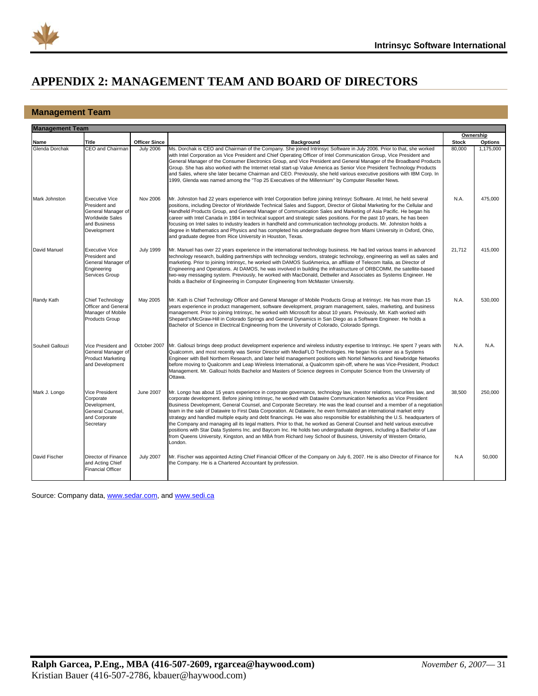<span id="page-31-0"></span>

### **APPENDIX 2: MANAGEMENT TEAM AND BOARD OF DIRECTORS**

#### **Management Team**

| <b>Management Team</b> |                                                                                                                       |                      |                                                                                                                                                                                                                                                                                                                                                                                                                                                                                                                                                                                                                                                                                                                                                                                                                                                                                                                                                                                                                   |              |                |
|------------------------|-----------------------------------------------------------------------------------------------------------------------|----------------------|-------------------------------------------------------------------------------------------------------------------------------------------------------------------------------------------------------------------------------------------------------------------------------------------------------------------------------------------------------------------------------------------------------------------------------------------------------------------------------------------------------------------------------------------------------------------------------------------------------------------------------------------------------------------------------------------------------------------------------------------------------------------------------------------------------------------------------------------------------------------------------------------------------------------------------------------------------------------------------------------------------------------|--------------|----------------|
|                        |                                                                                                                       |                      |                                                                                                                                                                                                                                                                                                                                                                                                                                                                                                                                                                                                                                                                                                                                                                                                                                                                                                                                                                                                                   |              | Ownership      |
| Name                   | <b>Title</b>                                                                                                          | <b>Officer Since</b> | <b>Background</b>                                                                                                                                                                                                                                                                                                                                                                                                                                                                                                                                                                                                                                                                                                                                                                                                                                                                                                                                                                                                 | <b>Stock</b> | <b>Options</b> |
| Glenda Dorchak         | CEO and Chairman                                                                                                      | <b>July 2006</b>     | Ms. Dorchak is CEO and Chairman of the Company. She joined Intrinsyc Software in July 2006. Prior to that, she worked<br>with Intel Corporation as Vice President and Chief Operating Officer of Intel Communication Group, Vice President and<br>General Manager of the Consumer Electronics Group, and Vice President and General Manager of the Broadband Products<br>Group. She has also worked with the Internet retail start-up Value America as Senior Vice President Technology Products<br>and Sales, where she later became Chairman and CEO. Previously, she held various executive positions with IBM Corp. In<br>1999, Glenda was named among the "Top 25 Executives of the Millennium" by Computer Reseller News.                                                                                                                                                                                                                                                                                   | 80,000       | 1,175,000      |
| Mark Johnston          | <b>Executive Vice</b><br>President and<br>General Manager of<br><b>Worldwide Sales</b><br>and Business<br>Development | Nov 2006             | Mr. Johnston had 22 years experience with Intel Corporation before joining Intrinsyc Software. At Intel, he held several<br>positions, including Director of Worldwide Technical Sales and Support, Director of Global Marketing for the Cellular and<br>Handheld Products Group, and General Manager of Communication Sales and Marketing of Asia Pacific. He began his<br>career with Intel Canada in 1984 in technical support and strategic sales positions. For the past 10 years, he has been<br>focusing on Intel sales to industry leaders in handheld and communication technology products. Mr. Johnston holds a<br>degree in Mathematics and Physics and has completed his undergraduate degree from Miami University in Oxford, Ohio,<br>and graduate degree from Rice University in Houston, Texas.                                                                                                                                                                                                  | N.A.         | 475,000        |
| David Manuel           | <b>Executive Vice</b><br>President and<br>General Manager of<br>Engineering<br>Services Group                         | <b>July 1999</b>     | Mr. Manuel has over 22 years experience in the international technology business. He had led various teams in advanced<br>technology research, building partnerships with technology vendors, strategic technology, engineering as well as sales and<br>marketing. Prior to joining Intrinsyc, he worked with DAMOS SudAmerica, an affiliate of Telecom Italia, as Director of<br>Engineering and Operations. At DAMOS, he was involved in building the infrastructure of ORBCOMM, the satellite-based<br>two-way messaging system. Previously, he worked with MacDonald, Dettwiler and Associates as Systems Engineer. He<br>holds a Bachelor of Engineering in Computer Engineering from McMaster University.                                                                                                                                                                                                                                                                                                   | 21,712       | 415,000        |
| Randy Kath             | Chief Technology<br><b>Officer and General</b><br>Manager of Mobile<br>Products Group                                 | May 2005             | Mr. Kath is Chief Technology Officer and General Manager of Mobile Products Group at Intrinsyc. He has more than 15<br>years experience in product management, software development, program management, sales, marketing, and business<br>management. Prior to joining Intrinsyc, he worked with Microsoft for about 10 years. Previously, Mr. Kath worked with<br>Shepard's/McGraw-Hill in Colorado Springs and General Dynamics in San Diego as a Software Engineer. He holds a<br>Bachelor of Science in Electrical Engineering from the University of Colorado, Colorado Springs.                                                                                                                                                                                                                                                                                                                                                                                                                            | N.A.         | 530,000        |
| Souheil Gallouzi       | Vice President and<br>General Manager of<br><b>Product Marketing</b><br>and Development                               | October 2007         | Mr. Gallouzi brings deep product development experience and wireless industry expertise to Intrinsyc. He spent 7 years with<br>Qualcomm, and most recently was Senior Director with MediaFLO Technologies. He began his career as a Systems<br>Engineer with Bell Northern Research, and later held management positions with Nortel Networks and Newbridge Networks<br>before moving to Qualcomm and Leap Wireless International, a Qualcomm spin-off, where he was Vice-President, Product<br>Management. Mr. Gallouzi holds Bachelor and Masters of Science degrees in Computer Science from the University of<br>Ottawa.                                                                                                                                                                                                                                                                                                                                                                                      | N.A.         | N.A.           |
| Mark J. Longo          | Vice President<br>Corporate<br>Development,<br>General Counsel,<br>and Corporate<br>Secretary                         | <b>June 2007</b>     | Mr. Longo has about 15 years experience in corporate governance, technology law, investor relations, securities law, and<br>corporate development. Before joining Intrinsyc, he worked with Datawire Communication Networks as Vice President<br>Business Development, General Counsel, and Corporate Secretary. He was the lead counsel and a member of a negotiation<br>team in the sale of Datawire to First Data Corporation. At Datawire, he even formulated an international market entry<br>strategy and handled multiple equity and debt financings. He was also responsible for establishing the U.S. headquarters of<br>the Company and managing all its legal matters. Prior to that, he worked as General Counsel and held various executive<br>positions with Star Data Systems Inc. and Baycom Inc. He holds two undergraduate degrees, including a Bachelor of Law<br>from Queens University, Kingston, and an MBA from Richard Ivey School of Business, University of Western Ontario,<br>London. | 38.500       | 250.000        |
| David Fischer          | Director of Finance<br>and Acting Chief<br><b>Financial Officer</b>                                                   | <b>July 2007</b>     | Mr. Fischer was appointed Acting Chief Financial Officer of the Company on July 6, 2007. He is also Director of Finance for<br>the Company. He is a Chartered Accountant by profession.                                                                                                                                                                                                                                                                                                                                                                                                                                                                                                                                                                                                                                                                                                                                                                                                                           | N.A          | 50,000         |

Source: Company data, [www.sedar.com](http://www.sedar.com/), and [www.sedi.ca](http://www.sedi.ca/)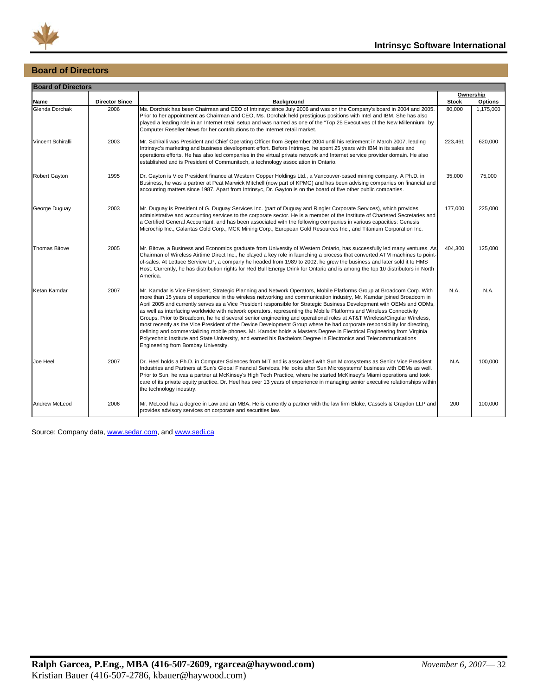

### **Board of Directors**

| <b>Board of Directors</b> |                       |                                                                                                                                                                                                                                                                                                                                                                                                                                                                                                                                                                                                                                                                                                                                                                                                                                                                                                                                                                                                                                              |              |                             |
|---------------------------|-----------------------|----------------------------------------------------------------------------------------------------------------------------------------------------------------------------------------------------------------------------------------------------------------------------------------------------------------------------------------------------------------------------------------------------------------------------------------------------------------------------------------------------------------------------------------------------------------------------------------------------------------------------------------------------------------------------------------------------------------------------------------------------------------------------------------------------------------------------------------------------------------------------------------------------------------------------------------------------------------------------------------------------------------------------------------------|--------------|-----------------------------|
| Name                      | <b>Director Since</b> | <b>Background</b>                                                                                                                                                                                                                                                                                                                                                                                                                                                                                                                                                                                                                                                                                                                                                                                                                                                                                                                                                                                                                            | <b>Stock</b> | Ownership<br><b>Options</b> |
| Glenda Dorchak            | 2006                  | Ms. Dorchak has been Chairman and CEO of Intrinsyc since July 2006 and was on the Company's board in 2004 and 2005.<br>Prior to her appointment as Chairman and CEO, Ms. Dorchak held prestigious positions with Intel and IBM. She has also<br>played a leading role in an Internet retail setup and was named as one of the "Top 25 Executives of the New Millennium" by<br>Computer Reseller News for her contributions to the Internet retail market.                                                                                                                                                                                                                                                                                                                                                                                                                                                                                                                                                                                    | 80,000       | 1,175,000                   |
| Vincent Schiralli         | 2003                  | Mr. Schiralli was President and Chief Operating Officer from September 2004 until his retirement in March 2007, leading<br>Intrinsyc's marketing and business development effort. Before Intrinsyc, he spent 25 years with IBM in its sales and<br>operations efforts. He has also led companies in the virtual private network and Internet service provider domain. He also<br>established and is President of Communitech, a technology association in Ontario.                                                                                                                                                                                                                                                                                                                                                                                                                                                                                                                                                                           | 223,461      | 620,000                     |
| Robert Gayton             | 1995                  | Dr. Gayton is Vice President finance at Western Copper Holdings Ltd., a Vancouver-based mining company. A Ph.D. in<br>Business, he was a partner at Peat Marwick Mitchell (now part of KPMG) and has been advising companies on financial and<br>accounting matters since 1987. Apart from Intrinsyc, Dr. Gayton is on the board of five other public companies.                                                                                                                                                                                                                                                                                                                                                                                                                                                                                                                                                                                                                                                                             | 35,000       | 75,000                      |
| George Duguay             | 2003                  | Mr. Duguay is President of G. Duguay Services Inc. (part of Duguay and Ringler Corporate Services), which provides<br>administrative and accounting services to the corporate sector. He is a member of the Institute of Chartered Secretaries and<br>a Certified General Accountant, and has been associated with the following companies in various capacities: Genesis<br>Microchip Inc., Galantas Gold Corp., MCK Mining Corp., European Gold Resources Inc., and Titanium Corporation Inc.                                                                                                                                                                                                                                                                                                                                                                                                                                                                                                                                              | 177,000      | 225,000                     |
| <b>Thomas Bitove</b>      | 2005                  | Mr. Bitove, a Business and Economics graduate from University of Western Ontario, has successfully led many ventures. As<br>Chairman of Wireless Airtime Direct Inc., he played a key role in launching a process that converted ATM machines to point-<br>of-sales. At Lettuce Serview LP, a company he headed from 1989 to 2002, he grew the business and later sold it to HMS<br>Host. Currently, he has distribution rights for Red Bull Energy Drink for Ontario and is among the top 10 distributors in North<br>America.                                                                                                                                                                                                                                                                                                                                                                                                                                                                                                              | 404,300      | 125,000                     |
| Ketan Kamdar              | 2007                  | Mr. Kamdar is Vice President, Strategic Planning and Network Operators, Mobile Platforms Group at Broadcom Corp. With<br>more than 15 years of experience in the wireless networking and communication industry, Mr. Kamdar joined Broadcom in<br>April 2005 and currently serves as a Vice President responsible for Strategic Business Development with OEMs and ODMs,<br>as well as interfacing worldwide with network operators, representing the Mobile Platforms and Wireless Connectivity<br>Groups. Prior to Broadcom, he held several senior engineering and operational roles at AT&T Wireless/Cingular Wireless,<br>most recently as the Vice President of the Device Development Group where he had corporate responsibility for directing,<br>defining and commercializing mobile phones. Mr. Kamdar holds a Masters Degree in Electrical Engineering from Virginia<br>Polytechnic Institute and State University, and earned his Bachelors Degree in Electronics and Telecommunications<br>Engineering from Bombay University. | N.A.         | N.A.                        |
| Joe Heel                  | 2007                  | Dr. Heel holds a Ph.D. in Computer Sciences from MIT and is associated with Sun Microsystems as Senior Vice President<br>Industries and Partners at Sun's Global Financial Services. He looks after Sun Microsystems' business with OEMs as well.<br>Prior to Sun, he was a partner at McKinsey's High Tech Practice, where he started McKinsey's Miami operations and took<br>care of its private equity practice. Dr. Heel has over 13 years of experience in managing senior executive relationships within<br>the technology industry.                                                                                                                                                                                                                                                                                                                                                                                                                                                                                                   | N.A.         | 100,000                     |
| <b>Andrew McLeod</b>      | 2006                  | Mr. McLeod has a degree in Law and an MBA. He is currently a partner with the law firm Blake, Cassels & Graydon LLP and<br>provides advisory services on corporate and securities law.                                                                                                                                                                                                                                                                                                                                                                                                                                                                                                                                                                                                                                                                                                                                                                                                                                                       | 200          | 100.000                     |

Source: Company data, [www.sedar.com](http://www.sedar.com/), and [www.sedi.ca](http://www.sedi.ca/)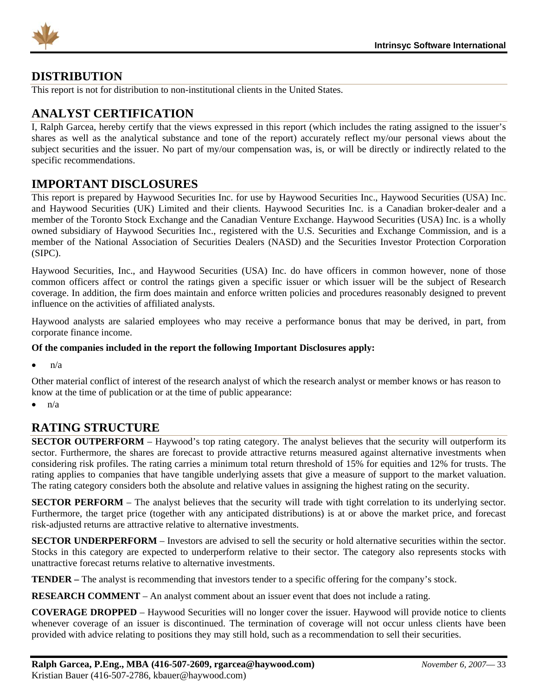<span id="page-33-0"></span>

### **DISTRIBUTION**

This report is not for distribution to non-institutional clients in the United States.

### **ANALYST CERTIFICATION**

I, Ralph Garcea, hereby certify that the views expressed in this report (which includes the rating assigned to the issuer's shares as well as the analytical substance and tone of the report) accurately reflect my/our personal views about the subject securities and the issuer. No part of my/our compensation was, is, or will be directly or indirectly related to the specific recommendations.

### **IMPORTANT DISCLOSURES**

This report is prepared by Haywood Securities Inc. for use by Haywood Securities Inc., Haywood Securities (USA) Inc. and Haywood Securities (UK) Limited and their clients. Haywood Securities Inc. is a Canadian broker-dealer and a member of the Toronto Stock Exchange and the Canadian Venture Exchange. Haywood Securities (USA) Inc. is a wholly owned subsidiary of Haywood Securities Inc., registered with the U.S. Securities and Exchange Commission, and is a member of the National Association of Securities Dealers (NASD) and the Securities Investor Protection Corporation (SIPC).

Haywood Securities, Inc., and Haywood Securities (USA) Inc. do have officers in common however, none of those common officers affect or control the ratings given a specific issuer or which issuer will be the subject of Research coverage. In addition, the firm does maintain and enforce written policies and procedures reasonably designed to prevent influence on the activities of affiliated analysts.

Haywood analysts are salaried employees who may receive a performance bonus that may be derived, in part, from corporate finance income.

#### **Of the companies included in the report the following Important Disclosures apply:**

 $n/a$ 

Other material conflict of interest of the research analyst of which the research analyst or member knows or has reason to know at the time of publication or at the time of public appearance:

 $\bullet$  n/a

### **RATING STRUCTURE**

**SECTOR OUTPERFORM** – Haywood's top rating category. The analyst believes that the security will outperform its sector. Furthermore, the shares are forecast to provide attractive returns measured against alternative investments when considering risk profiles. The rating carries a minimum total return threshold of 15% for equities and 12% for trusts. The rating applies to companies that have tangible underlying assets that give a measure of support to the market valuation. The rating category considers both the absolute and relative values in assigning the highest rating on the security.

**SECTOR PERFORM** – The analyst believes that the security will trade with tight correlation to its underlying sector. Furthermore, the target price (together with any anticipated distributions) is at or above the market price, and forecast risk-adjusted returns are attractive relative to alternative investments.

**SECTOR UNDERPERFORM** – Investors are advised to sell the security or hold alternative securities within the sector. Stocks in this category are expected to underperform relative to their sector. The category also represents stocks with unattractive forecast returns relative to alternative investments.

**TENDER –** The analyst is recommending that investors tender to a specific offering for the company's stock.

**RESEARCH COMMENT** – An analyst comment about an issuer event that does not include a rating.

**COVERAGE DROPPED** – Haywood Securities will no longer cover the issuer. Haywood will provide notice to clients whenever coverage of an issuer is discontinued. The termination of coverage will not occur unless clients have been provided with advice relating to positions they may still hold, such as a recommendation to sell their securities.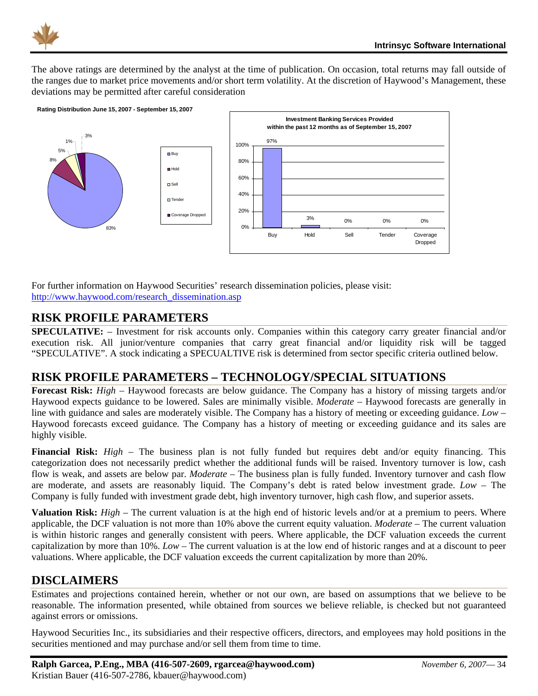<span id="page-34-0"></span>

The above ratings are determined by the analyst at the time of publication. On occasion, total returns may fall outside of the ranges due to market price movements and/or short term volatility. At the discretion of Haywood's Management, these deviations may be permitted after careful consideration



For further information on Haywood Securities' research dissemination policies, please visit: [http://www.haywood.com/research\\_dissemination.asp](http://www.haywood.com/research_dissemination.asp) 

### **RISK PROFILE PARAMETERS**

**SPECULATIVE:** – Investment for risk accounts only. Companies within this category carry greater financial and/or execution risk. All junior/venture companies that carry great financial and/or liquidity risk will be tagged "SPECULATIVE". A stock indicating a SPECUALTIVE risk is determined from sector specific criteria outlined below.

### **RISK PROFILE PARAMETERS – TECHNOLOGY/SPECIAL SITUATIONS**

**Forecast Risk:** *High* – Haywood forecasts are below guidance. The Company has a history of missing targets and/or Haywood expects guidance to be lowered. Sales are minimally visible. *Moderate* – Haywood forecasts are generally in line with guidance and sales are moderately visible. The Company has a history of meeting or exceeding guidance. *Low* – Haywood forecasts exceed guidance. The Company has a history of meeting or exceeding guidance and its sales are highly visible.

**Financial Risk:** *High* – The business plan is not fully funded but requires debt and/or equity financing. This categorization does not necessarily predict whether the additional funds will be raised. Inventory turnover is low, cash flow is weak, and assets are below par. *Moderate* – The business plan is fully funded. Inventory turnover and cash flow are moderate, and assets are reasonably liquid. The Company's debt is rated below investment grade. *Low* – The Company is fully funded with investment grade debt, high inventory turnover, high cash flow, and superior assets.

**Valuation Risk:** *High* – The current valuation is at the high end of historic levels and/or at a premium to peers. Where applicable, the DCF valuation is not more than 10% above the current equity valuation. *Moderate* – The current valuation is within historic ranges and generally consistent with peers. Where applicable, the DCF valuation exceeds the current capitalization by more than 10%. *Low* – The current valuation is at the low end of historic ranges and at a discount to peer valuations. Where applicable, the DCF valuation exceeds the current capitalization by more than 20%.

### **DISCLAIMERS**

Estimates and projections contained herein, whether or not our own, are based on assumptions that we believe to be reasonable. The information presented, while obtained from sources we believe reliable, is checked but not guaranteed against errors or omissions.

Haywood Securities Inc., its subsidiaries and their respective officers, directors, and employees may hold positions in the securities mentioned and may purchase and/or sell them from time to time.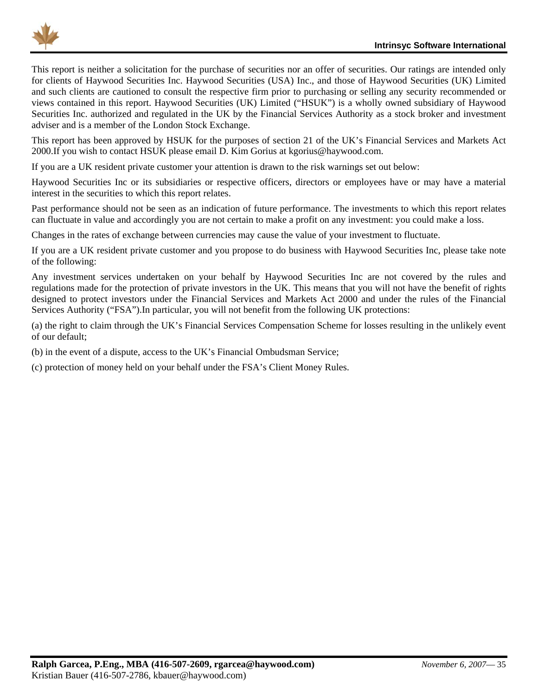

This report is neither a solicitation for the purchase of securities nor an offer of securities. Our ratings are intended only for clients of Haywood Securities Inc. Haywood Securities (USA) Inc., and those of Haywood Securities (UK) Limited and such clients are cautioned to consult the respective firm prior to purchasing or selling any security recommended or views contained in this report. Haywood Securities (UK) Limited ("HSUK") is a wholly owned subsidiary of Haywood Securities Inc. authorized and regulated in the UK by the Financial Services Authority as a stock broker and investment adviser and is a member of the London Stock Exchange.

This report has been approved by HSUK for the purposes of section 21 of the UK's Financial Services and Markets Act 2000.If you wish to contact HSUK please email D. Kim Gorius at kgorius@haywood.com.

If you are a UK resident private customer your attention is drawn to the risk warnings set out below:

Haywood Securities Inc or its subsidiaries or respective officers, directors or employees have or may have a material interest in the securities to which this report relates.

Past performance should not be seen as an indication of future performance. The investments to which this report relates can fluctuate in value and accordingly you are not certain to make a profit on any investment: you could make a loss.

Changes in the rates of exchange between currencies may cause the value of your investment to fluctuate.

If you are a UK resident private customer and you propose to do business with Haywood Securities Inc, please take note of the following:

Any investment services undertaken on your behalf by Haywood Securities Inc are not covered by the rules and regulations made for the protection of private investors in the UK. This means that you will not have the benefit of rights designed to protect investors under the Financial Services and Markets Act 2000 and under the rules of the Financial Services Authority ("FSA").In particular, you will not benefit from the following UK protections:

(a) the right to claim through the UK's Financial Services Compensation Scheme for losses resulting in the unlikely event of our default;

(b) in the event of a dispute, access to the UK's Financial Ombudsman Service;

(c) protection of money held on your behalf under the FSA's Client Money Rules.